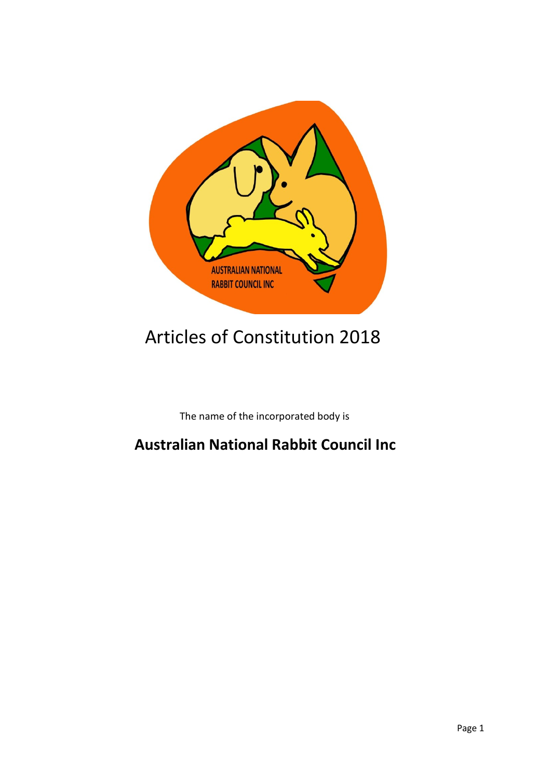

# Articles of Constitution 2018

The name of the incorporated body is

# **Australian National Rabbit Council Inc**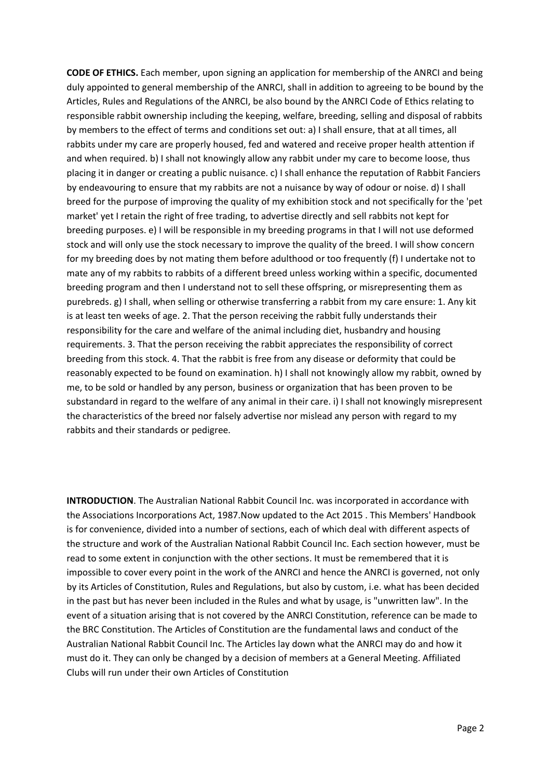**CODE OF ETHICS.** Each member, upon signing an application for membership of the ANRCI and being duly appointed to general membership of the ANRCI, shall in addition to agreeing to be bound by the Articles, Rules and Regulations of the ANRCI, be also bound by the ANRCI Code of Ethics relating to responsible rabbit ownership including the keeping, welfare, breeding, selling and disposal of rabbits by members to the effect of terms and conditions set out: a) I shall ensure, that at all times, all rabbits under my care are properly housed, fed and watered and receive proper health attention if and when required. b) I shall not knowingly allow any rabbit under my care to become loose, thus placing it in danger or creating a public nuisance. c) I shall enhance the reputation of Rabbit Fanciers by endeavouring to ensure that my rabbits are not a nuisance by way of odour or noise. d) I shall breed for the purpose of improving the quality of my exhibition stock and not specifically for the 'pet market' yet I retain the right of free trading, to advertise directly and sell rabbits not kept for breeding purposes. e) I will be responsible in my breeding programs in that I will not use deformed stock and will only use the stock necessary to improve the quality of the breed. I will show concern for my breeding does by not mating them before adulthood or too frequently (f) I undertake not to mate any of my rabbits to rabbits of a different breed unless working within a specific, documented breeding program and then I understand not to sell these offspring, or misrepresenting them as purebreds. g) I shall, when selling or otherwise transferring a rabbit from my care ensure: 1. Any kit is at least ten weeks of age. 2. That the person receiving the rabbit fully understands their responsibility for the care and welfare of the animal including diet, husbandry and housing requirements. 3. That the person receiving the rabbit appreciates the responsibility of correct breeding from this stock. 4. That the rabbit is free from any disease or deformity that could be reasonably expected to be found on examination. h) I shall not knowingly allow my rabbit, owned by me, to be sold or handled by any person, business or organization that has been proven to be substandard in regard to the welfare of any animal in their care. i) I shall not knowingly misrepresent the characteristics of the breed nor falsely advertise nor mislead any person with regard to my rabbits and their standards or pedigree.

**INTRODUCTION**. The Australian National Rabbit Council Inc. was incorporated in accordance with the Associations Incorporations Act, 1987.Now updated to the Act 2015 . This Members' Handbook is for convenience, divided into a number of sections, each of which deal with different aspects of the structure and work of the Australian National Rabbit Council Inc. Each section however, must be read to some extent in conjunction with the other sections. It must be remembered that it is impossible to cover every point in the work of the ANRCI and hence the ANRCI is governed, not only by its Articles of Constitution, Rules and Regulations, but also by custom, i.e. what has been decided in the past but has never been included in the Rules and what by usage, is "unwritten law". In the event of a situation arising that is not covered by the ANRCI Constitution, reference can be made to the BRC Constitution. The Articles of Constitution are the fundamental laws and conduct of the Australian National Rabbit Council Inc. The Articles lay down what the ANRCI may do and how it must do it. They can only be changed by a decision of members at a General Meeting. Affiliated Clubs will run under their own Articles of Constitution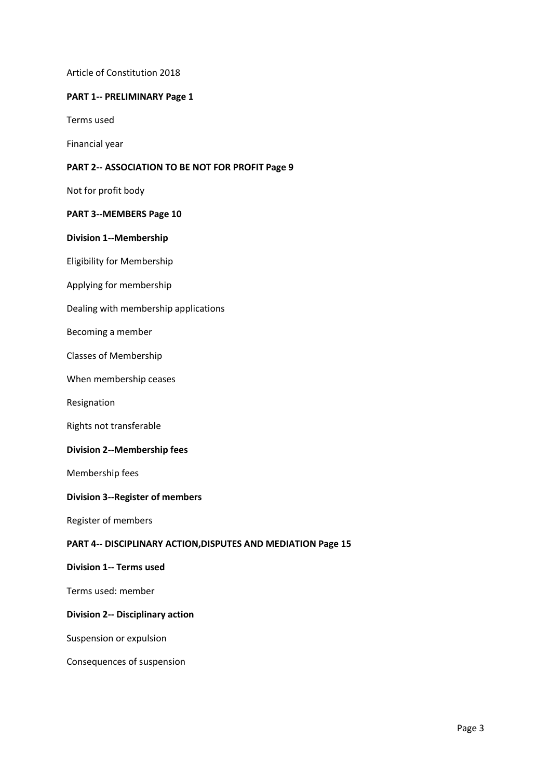Article of Constitution 2018

# **PART 1-- PRELIMINARY Page 1**

Terms used

Financial year

## **PART 2-- ASSOCIATION TO BE NOT FOR PROFIT Page 9**

Not for profit body

# **PART 3--MEMBERS Page 10**

## **Division 1--Membership**

Eligibility for Membership

- Applying for membership
- Dealing with membership applications

## Becoming a member

Classes of Membership

When membership ceases

Resignation

Rights not transferable

## **Division 2--Membership fees**

Membership fees

## **Division 3--Register of members**

Register of members

#### **PART 4-- DISCIPLINARY ACTION,DISPUTES AND MEDIATION Page 15**

#### **Division 1-- Terms used**

Terms used: member

# **Division 2-- Disciplinary action**

Suspension or expulsion

Consequences of suspension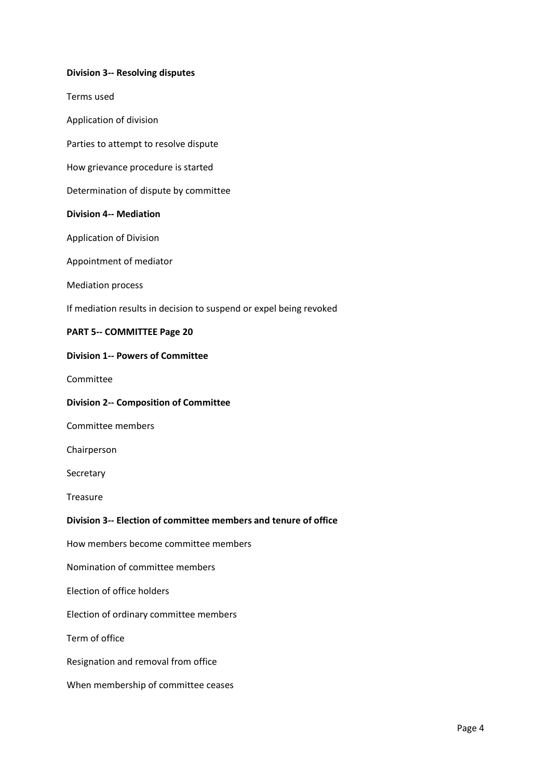# **Division 3-- Resolving disputes**

Terms used

- Application of division
- Parties to attempt to resolve dispute
- How grievance procedure is started
- Determination of dispute by committee

## **Division 4-- Mediation**

Application of Division

Appointment of mediator

Mediation process

If mediation results in decision to suspend or expel being revoked

#### **PART 5-- COMMITTEE Page 20**

#### **Division 1-- Powers of Committee**

Committee

#### **Division 2-- Composition of Committee**

Committee members

Chairperson

Secretary

**Treasure** 

## **Division 3-- Election of committee members and tenure of office**

How members become committee members

Nomination of committee members

Election of office holders

Election of ordinary committee members

Term of office

Resignation and removal from office

When membership of committee ceases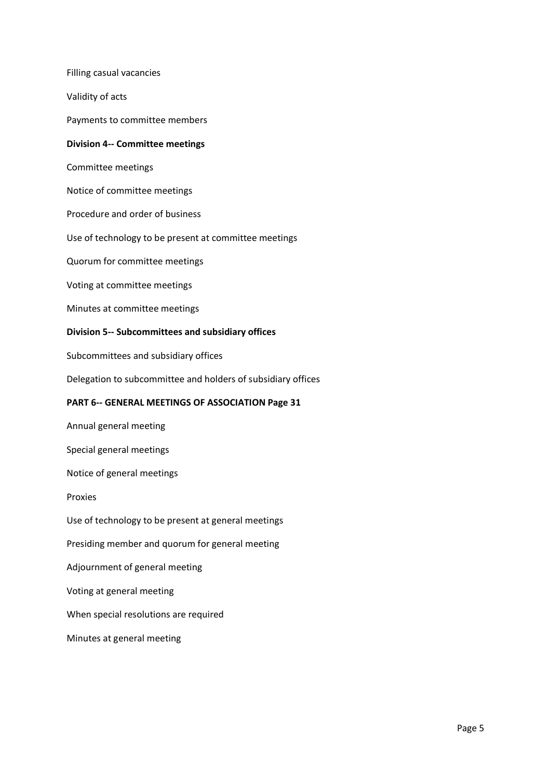Filling casual vacancies Validity of acts Payments to committee members **Division 4-- Committee meetings** Committee meetings Notice of committee meetings Procedure and order of business Use of technology to be present at committee meetings Quorum for committee meetings Voting at committee meetings Minutes at committee meetings **Division 5-- Subcommittees and subsidiary offices** Subcommittees and subsidiary offices Delegation to subcommittee and holders of subsidiary offices **PART 6-- GENERAL MEETINGS OF ASSOCIATION Page 31** Annual general meeting Special general meetings Notice of general meetings Proxies Use of technology to be present at general meetings Presiding member and quorum for general meeting Adjournment of general meeting Voting at general meeting When special resolutions are required Minutes at general meeting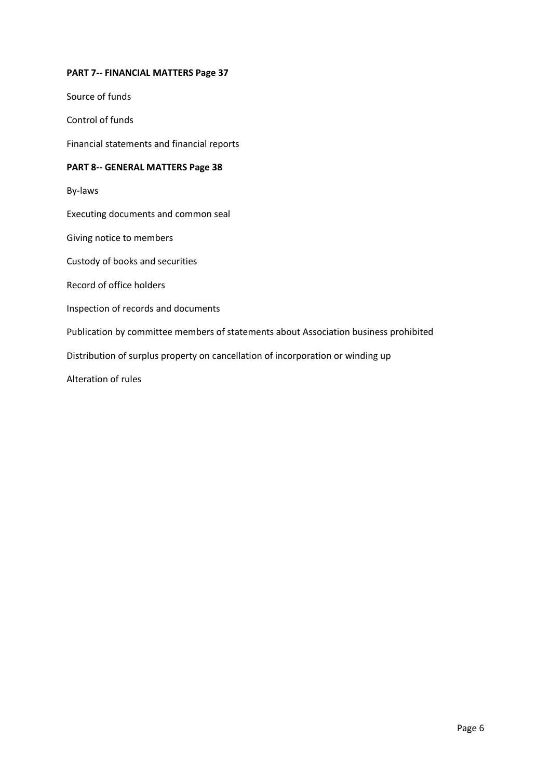# **PART 7-- FINANCIAL MATTERS Page 37**

Source of funds

Control of funds

Financial statements and financial reports

# **PART 8-- GENERAL MATTERS Page 38**

By-laws

Executing documents and common seal

Giving notice to members

Custody of books and securities

Record of office holders

Inspection of records and documents

Publication by committee members of statements about Association business prohibited

Distribution of surplus property on cancellation of incorporation or winding up

Alteration of rules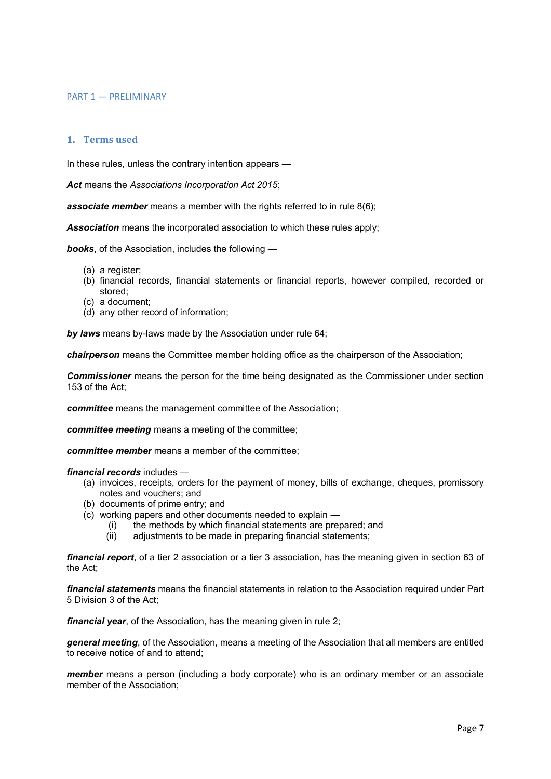#### PART 1 — PRELIMINARY

# **1. Terms used**

In these rules, unless the contrary intention appears —

*Act* means the *Associations Incorporation Act 2015*;

**associate member** means a member with the rights referred to in rule 8(6);

*Association* means the incorporated association to which these rules apply;

*books*, of the Association, includes the following —

- (a) a register;
- (b) financial records, financial statements or financial reports, however compiled, recorded or stored;
- (c) a document;
- (d) any other record of information;

*by laws* means by-laws made by the Association under rule 64;

*chairperson* means the Committee member holding office as the chairperson of the Association;

*Commissioner* means the person for the time being designated as the Commissioner under section 153 of the Act;

*committee* means the management committee of the Association;

*committee meeting* means a meeting of the committee;

*committee member* means a member of the committee;

*financial records* includes —

- (a) invoices, receipts, orders for the payment of money, bills of exchange, cheques, promissory notes and vouchers; and
- (b) documents of prime entry; and
- (c) working papers and other documents needed to explain
	- (i) the methods by which financial statements are prepared; and
	- (ii) adjustments to be made in preparing financial statements;

*financial report*, of a tier 2 association or a tier 3 association, has the meaning given in section 63 of the Act;

*financial statements* means the financial statements in relation to the Association required under Part 5 Division 3 of the Act;

*financial year*, of the Association, has the meaning given in rule 2;

*general meeting*, of the Association, means a meeting of the Association that all members are entitled to receive notice of and to attend;

*member* means a person (including a body corporate) who is an ordinary member or an associate member of the Association;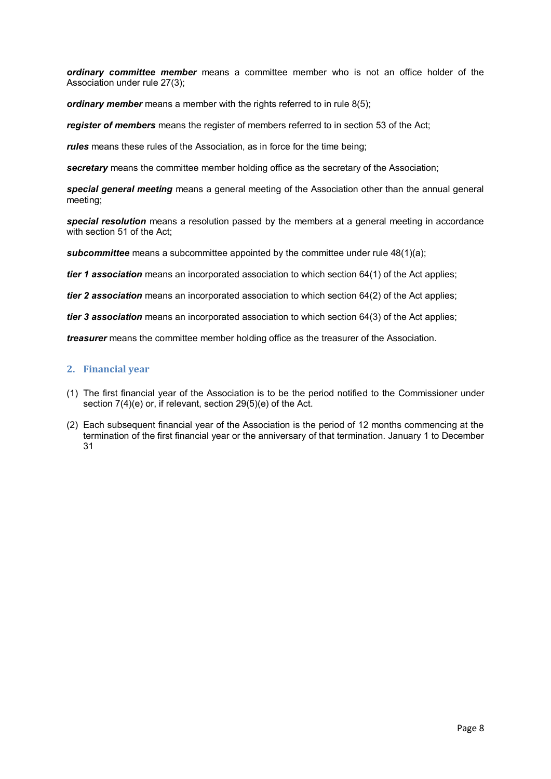*ordinary committee member* means a committee member who is not an office holder of the Association under rule 27(3);

*ordinary member* means a member with the rights referred to in rule 8(5);

*register of members* means the register of members referred to in section 53 of the Act;

*rules* means these rules of the Association, as in force for the time being;

*secretary* means the committee member holding office as the secretary of the Association;

*special general meeting* means a general meeting of the Association other than the annual general meeting;

*special resolution* means a resolution passed by the members at a general meeting in accordance with section 51 of the Act:

**subcommittee** means a subcommittee appointed by the committee under rule 48(1)(a);

*tier 1 association* means an incorporated association to which section 64(1) of the Act applies;

*tier 2 association* means an incorporated association to which section 64(2) of the Act applies;

*tier 3 association* means an incorporated association to which section 64(3) of the Act applies;

*treasurer* means the committee member holding office as the treasurer of the Association.

# **2. Financial year**

- (1) The first financial year of the Association is to be the period notified to the Commissioner under section 7(4)(e) or, if relevant, section 29(5)(e) of the Act.
- (2) Each subsequent financial year of the Association is the period of 12 months commencing at the termination of the first financial year or the anniversary of that termination. January 1 to December 31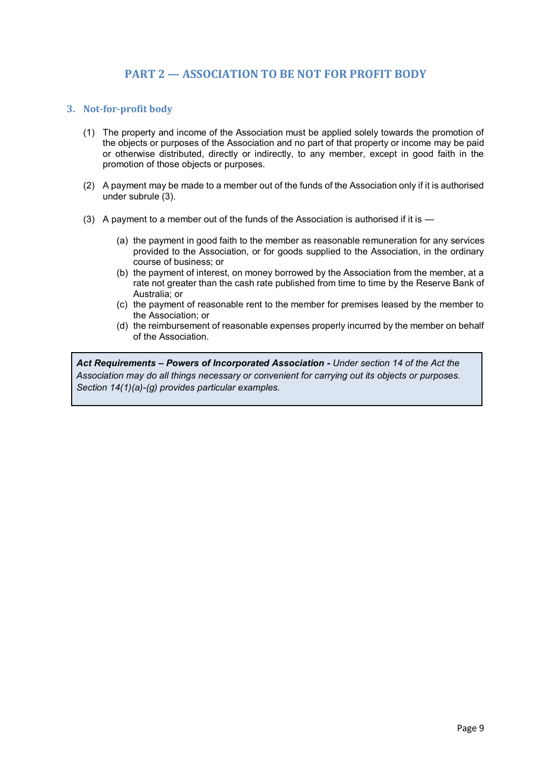# **PART 2 — ASSOCIATION TO BE NOT FOR PROFIT BODY**

# **3. Not-for-profit body**

- (1) The property and income of the Association must be applied solely towards the promotion of the objects or purposes of the Association and no part of that property or income may be paid or otherwise distributed, directly or indirectly, to any member, except in good faith in the promotion of those objects or purposes.
- (2) A payment may be made to a member out of the funds of the Association only if it is authorised under subrule (3).
- (3) A payment to a member out of the funds of the Association is authorised if it is
	- (a) the payment in good faith to the member as reasonable remuneration for any services provided to the Association, or for goods supplied to the Association, in the ordinary course of business; or
	- (b) the payment of interest, on money borrowed by the Association from the member, at a rate not greater than the cash rate published from time to time by the Reserve Bank of Australia; or
	- (c) the payment of reasonable rent to the member for premises leased by the member to the Association; or
	- (d) the reimbursement of reasonable expenses properly incurred by the member on behalf of the Association.

*Act Requirements – Powers of Incorporated Association - Under section 14 of the Act the Association may do all things necessary or convenient for carrying out its objects or purposes. Section 14(1)(a)-(g) provides particular examples.*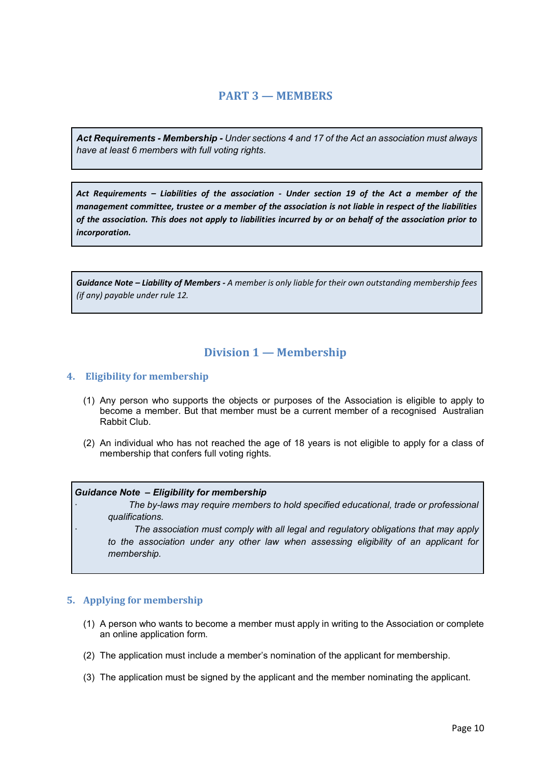# **PART 3 — MEMBERS**

*Act Requirements - Membership - Under sections 4 and 17 of the Act an association must always have at least 6 members with full voting rights.*

*Act Requirements – Liabilities of the association - Under section 19 of the Act a member of the management committee, trustee or a member of the association is not liable in respect of the liabilities of the association. This does not apply to liabilities incurred by or on behalf of the association prior to incorporation.*

*Guidance Note – Liability of Members - A member is only liable for their own outstanding membership fees (if any) payable under rule 12.*

# **Division 1 — Membership**

# **4. Eligibility for membership**

- (1) Any person who supports the objects or purposes of the Association is eligible to apply to become a member. But that member must be a current member of a recognised Australian Rabbit Club.
- (2) An individual who has not reached the age of 18 years is not eligible to apply for a class of membership that confers full voting rights.

#### *Guidance Note – Eligibility for membership*

· *The by-laws may require members to hold specified educational, trade or professional qualifications.*

· *The association must comply with all legal and regulatory obligations that may apply to the association under any other law when assessing eligibility of an applicant for membership.*

#### **5. Applying for membership**

- (1) A person who wants to become a member must apply in writing to the Association or complete an online application form.
- (2) The application must include a member's nomination of the applicant for membership.
- (3) The application must be signed by the applicant and the member nominating the applicant.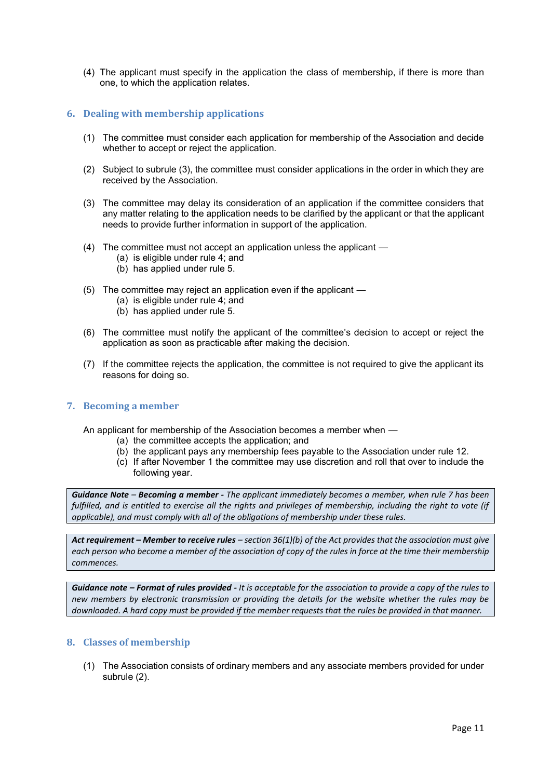(4) The applicant must specify in the application the class of membership, if there is more than one, to which the application relates.

# **6. Dealing with membership applications**

- (1) The committee must consider each application for membership of the Association and decide whether to accept or reject the application.
- (2) Subject to subrule (3), the committee must consider applications in the order in which they are received by the Association.
- (3) The committee may delay its consideration of an application if the committee considers that any matter relating to the application needs to be clarified by the applicant or that the applicant needs to provide further information in support of the application.
- (4) The committee must not accept an application unless the applicant
	- (a) is eligible under rule 4; and
	- (b) has applied under rule 5.
- (5) The committee may reject an application even if the applicant
	- (a) is eligible under rule 4; and
	- (b) has applied under rule 5.
- (6) The committee must notify the applicant of the committee's decision to accept or reject the application as soon as practicable after making the decision.
- (7) If the committee rejects the application, the committee is not required to give the applicant its reasons for doing so.

## **7. Becoming a member**

An applicant for membership of the Association becomes a member when —

- (a) the committee accepts the application; and
- (b) the applicant pays any membership fees payable to the Association under rule 12.
- (c) If after November 1 the committee may use discretion and roll that over to include the following year.

*Guidance Note – Becoming a member - The applicant immediately becomes a member, when rule 7 has been fulfilled, and is entitled to exercise all the rights and privileges of membership, including the right to vote (if applicable), and must comply with all of the obligations of membership under these rules.*

*Act requirement – Member to receive rules – section 36(1)(b) of the Act provides that the association must give each person who become a member of the association of copy of the rules in force at the time their membership commences.* 

*Guidance note – Format of rules provided - It is acceptable for the association to provide a copy of the rules to new members by electronic transmission or providing the details for the website whether the rules may be downloaded. A hard copy must be provided if the member requests that the rules be provided in that manner.*

#### **8. Classes of membership**

(1) The Association consists of ordinary members and any associate members provided for under subrule (2).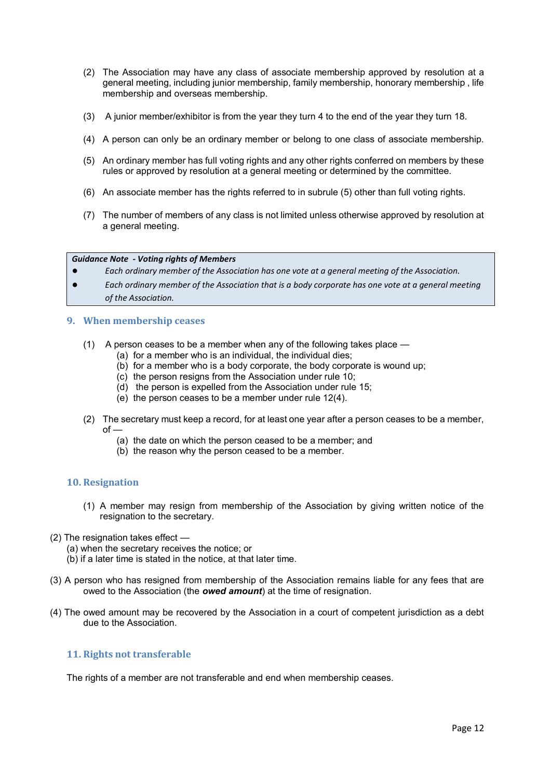- (2) The Association may have any class of associate membership approved by resolution at a general meeting, including junior membership, family membership, honorary membership , life membership and overseas membership.
- (3) A junior member/exhibitor is from the year they turn 4 to the end of the year they turn 18.
- (4) A person can only be an ordinary member or belong to one class of associate membership.
- (5) An ordinary member has full voting rights and any other rights conferred on members by these rules or approved by resolution at a general meeting or determined by the committee.
- (6) An associate member has the rights referred to in subrule (5) other than full voting rights.
- (7) The number of members of any class is not limited unless otherwise approved by resolution at a general meeting.

#### *Guidance Note - Voting rights of Members*

- Each ordinary member of the Association has one vote at a general meeting of the Association.
- *Each ordinary member of the Association that is a body corporate has one vote at a general meeting of the Association.*

#### **9. When membership ceases**

- (1) A person ceases to be a member when any of the following takes place
	- (a) for a member who is an individual, the individual dies;
	- (b) for a member who is a body corporate, the body corporate is wound up;
	- (c) the person resigns from the Association under rule 10;
	- (d) the person is expelled from the Association under rule 15;
	- (e) the person ceases to be a member under rule 12(4).
- (2) The secretary must keep a record, for at least one year after a person ceases to be a member,  $of -$ 
	- (a) the date on which the person ceased to be a member; and
	- (b) the reason why the person ceased to be a member.

#### **10. Resignation**

- (1) A member may resign from membership of the Association by giving written notice of the resignation to the secretary.
- (2) The resignation takes effect
	- (a) when the secretary receives the notice; or
	- (b) if a later time is stated in the notice, at that later time.
- (3) A person who has resigned from membership of the Association remains liable for any fees that are owed to the Association (the *owed amount*) at the time of resignation.
- (4) The owed amount may be recovered by the Association in a court of competent jurisdiction as a debt due to the Association.

#### **11. Rights not transferable**

The rights of a member are not transferable and end when membership ceases.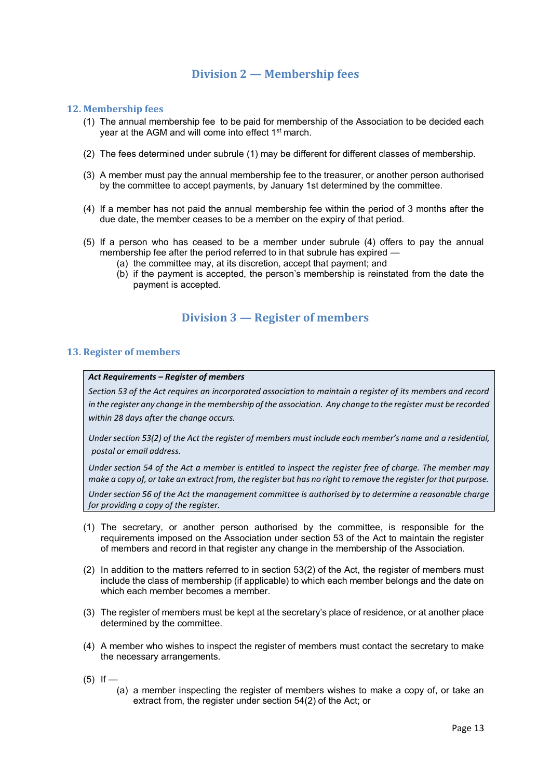# **Division 2 — Membership fees**

## **12. Membership fees**

- (1) The annual membership fee to be paid for membership of the Association to be decided each year at the AGM and will come into effect 1<sup>st</sup> march.
- (2) The fees determined under subrule (1) may be different for different classes of membership.
- (3) A member must pay the annual membership fee to the treasurer, or another person authorised by the committee to accept payments, by January 1st determined by the committee.
- (4) If a member has not paid the annual membership fee within the period of 3 months after the due date, the member ceases to be a member on the expiry of that period.
- (5) If a person who has ceased to be a member under subrule (4) offers to pay the annual membership fee after the period referred to in that subrule has expired -
	- (a) the committee may, at its discretion, accept that payment; and
	- (b) if the payment is accepted, the person's membership is reinstated from the date the payment is accepted.

# **Division 3 — Register of members**

#### **13. Register of members**

#### *Act Requirements – Register of members*

*Section 53 of the Act requires an incorporated association to maintain a register of its members and record in the register any change in the membership of the association. Any change to the register must be recorded within 28 days after the change occurs.*

*Under section 53(2) of the Act the register of members must include each member's name and a residential, postal or email address.* 

*Under section 54 of the Act a member is entitled to inspect the register free of charge. The member may make a copy of, or take an extract from, the register but has no right to remove the register for that purpose.* 

*Under section 56 of the Act the management committee is authorised by to determine a reasonable charge for providing a copy of the register.* 

- (1) The secretary, or another person authorised by the committee, is responsible for the requirements imposed on the Association under section 53 of the Act to maintain the register of members and record in that register any change in the membership of the Association.
- (2) In addition to the matters referred to in section 53(2) of the Act, the register of members must include the class of membership (if applicable) to which each member belongs and the date on which each member becomes a member.
- (3) The register of members must be kept at the secretary's place of residence, or at another place determined by the committee.
- (4) A member who wishes to inspect the register of members must contact the secretary to make the necessary arrangements.
- $(5)$  If
	- (a) a member inspecting the register of members wishes to make a copy of, or take an extract from, the register under section 54(2) of the Act; or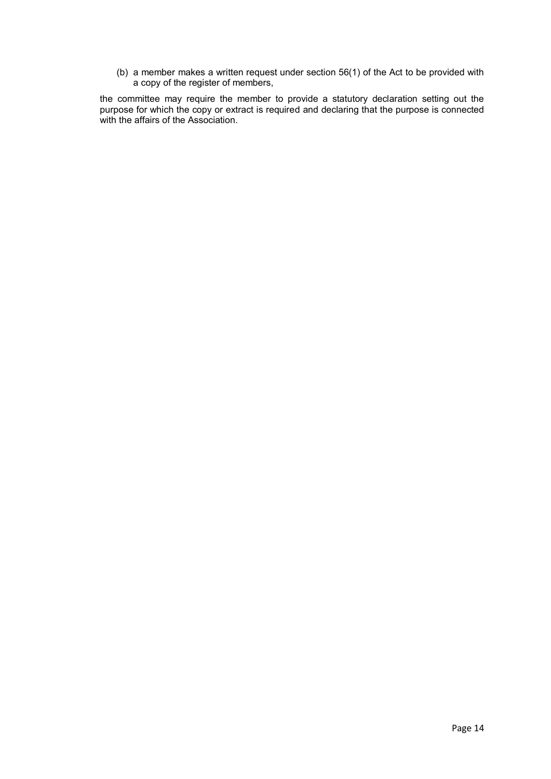(b) a member makes a written request under section 56(1) of the Act to be provided with a copy of the register of members,

the committee may require the member to provide a statutory declaration setting out the purpose for which the copy or extract is required and declaring that the purpose is connected with the affairs of the Association.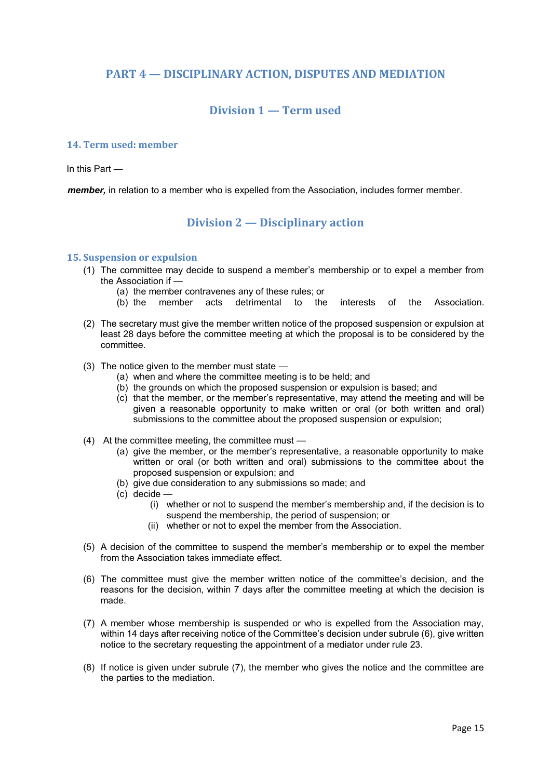# **PART 4 — DISCIPLINARY ACTION, DISPUTES AND MEDIATION**

# **Division 1 — Term used**

## **14. Term used: member**

In this Part —

*member,* in relation to a member who is expelled from the Association, includes former member.

# **Division 2 — Disciplinary action**

#### **15. Suspension or expulsion**

- (1) The committee may decide to suspend a member's membership or to expel a member from the Association if —
	- (a) the member contravenes any of these rules; or
	- (b) the member acts detrimental to the interests of the Association.
- (2) The secretary must give the member written notice of the proposed suspension or expulsion at least 28 days before the committee meeting at which the proposal is to be considered by the committee.
- (3) The notice given to the member must state
	- (a) when and where the committee meeting is to be held; and
	- (b) the grounds on which the proposed suspension or expulsion is based; and
	- (c) that the member, or the member's representative, may attend the meeting and will be given a reasonable opportunity to make written or oral (or both written and oral) submissions to the committee about the proposed suspension or expulsion;
- (4) At the committee meeting, the committee must
	- (a) give the member, or the member's representative, a reasonable opportunity to make written or oral (or both written and oral) submissions to the committee about the proposed suspension or expulsion; and
	- (b) give due consideration to any submissions so made; and
	- (c) decide
		- (i) whether or not to suspend the member's membership and, if the decision is to suspend the membership, the period of suspension; or
		- (ii) whether or not to expel the member from the Association.
- (5) A decision of the committee to suspend the member's membership or to expel the member from the Association takes immediate effect.
- (6) The committee must give the member written notice of the committee's decision, and the reasons for the decision, within 7 days after the committee meeting at which the decision is made.
- (7) A member whose membership is suspended or who is expelled from the Association may, within 14 days after receiving notice of the Committee's decision under subrule (6), give written notice to the secretary requesting the appointment of a mediator under rule 23.
- (8) If notice is given under subrule (7), the member who gives the notice and the committee are the parties to the mediation.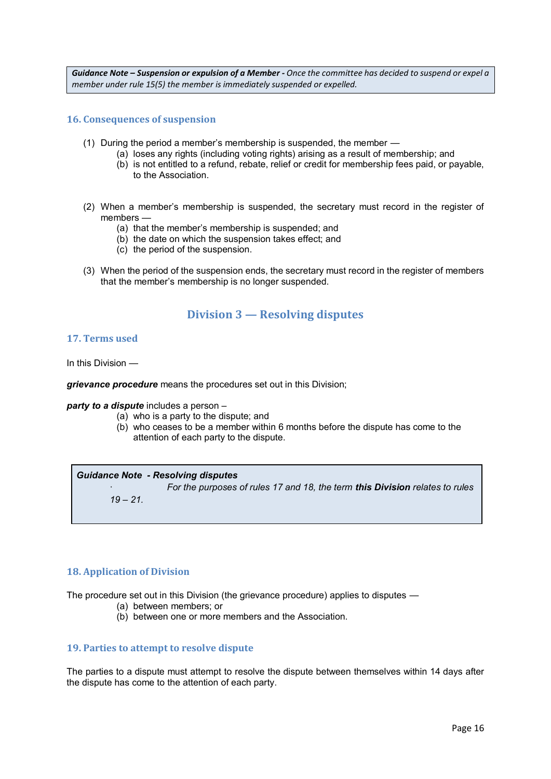*Guidance Note – Suspension or expulsion of a Member - Once the committee has decided to suspend or expel a member under rule 15(5) the member is immediately suspended or expelled.* 

#### **16. Consequences of suspension**

- (1) During the period a member's membership is suspended, the member
	- (a) loses any rights (including voting rights) arising as a result of membership; and
		- (b) is not entitled to a refund, rebate, relief or credit for membership fees paid, or payable, to the Association.
- (2) When a member's membership is suspended, the secretary must record in the register of members —
	- (a) that the member's membership is suspended; and
	- (b) the date on which the suspension takes effect; and
	- (c) the period of the suspension.
- (3) When the period of the suspension ends, the secretary must record in the register of members that the member's membership is no longer suspended.

# **Division 3 — Resolving disputes**

#### **17. Terms used**

In this Division —

*grievance procedure* means the procedures set out in this Division;

*party to a dispute* includes a person –

- (a) who is a party to the dispute; and
- (b) who ceases to be a member within 6 months before the dispute has come to the attention of each party to the dispute.

#### *Guidance Note - Resolving disputes*

· *For the purposes of rules 17 and 18, the term this Division relates to rules* 

*19 – 21.*

#### **18. Application of Division**

The procedure set out in this Division (the grievance procedure) applies to disputes —

- (a) between members; or
- (b) between one or more members and the Association.

#### **19. Parties to attempt to resolve dispute**

The parties to a dispute must attempt to resolve the dispute between themselves within 14 days after the dispute has come to the attention of each party.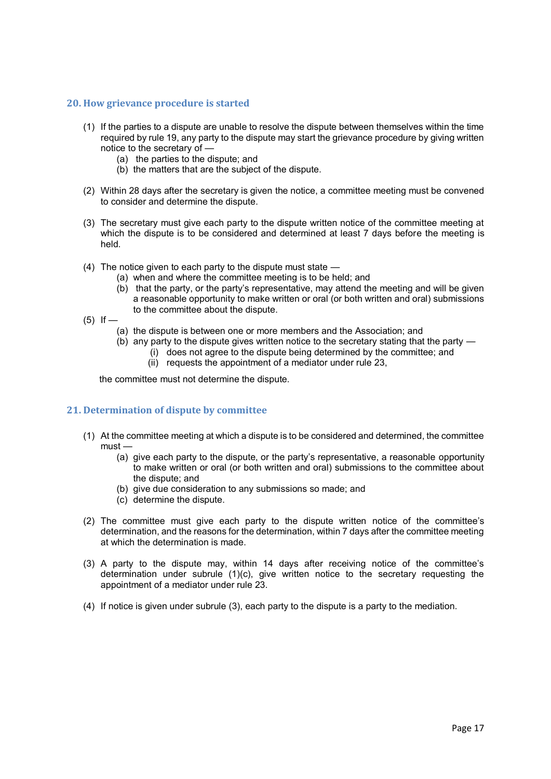#### **20. How grievance procedure is started**

- (1) If the parties to a dispute are unable to resolve the dispute between themselves within the time required by rule 19, any party to the dispute may start the grievance procedure by giving written notice to the secretary of —
	- (a) the parties to the dispute; and
	- (b) the matters that are the subject of the dispute.
- (2) Within 28 days after the secretary is given the notice, a committee meeting must be convened to consider and determine the dispute.
- (3) The secretary must give each party to the dispute written notice of the committee meeting at which the dispute is to be considered and determined at least 7 days before the meeting is held.
- (4) The notice given to each party to the dispute must state
	- (a) when and where the committee meeting is to be held; and
	- (b) that the party, or the party's representative, may attend the meeting and will be given a reasonable opportunity to make written or oral (or both written and oral) submissions to the committee about the dispute.
- $(5)$  If
	- (a) the dispute is between one or more members and the Association; and
	- $(b)$  any party to the dispute gives written notice to the secretary stating that the party  $-$ (i) does not agree to the dispute being determined by the committee; and
		- (ii) requests the appointment of a mediator under rule 23,

the committee must not determine the dispute.

# **21. Determination of dispute by committee**

- (1) At the committee meeting at which a dispute is to be considered and determined, the committee must —
	- (a) give each party to the dispute, or the party's representative, a reasonable opportunity to make written or oral (or both written and oral) submissions to the committee about the dispute; and
	- (b) give due consideration to any submissions so made; and
	- (c) determine the dispute.
- (2) The committee must give each party to the dispute written notice of the committee's determination, and the reasons for the determination, within 7 days after the committee meeting at which the determination is made.
- (3) A party to the dispute may, within 14 days after receiving notice of the committee's determination under subrule  $(1)(c)$ , give written notice to the secretary requesting the appointment of a mediator under rule 23.
- (4) If notice is given under subrule (3), each party to the dispute is a party to the mediation.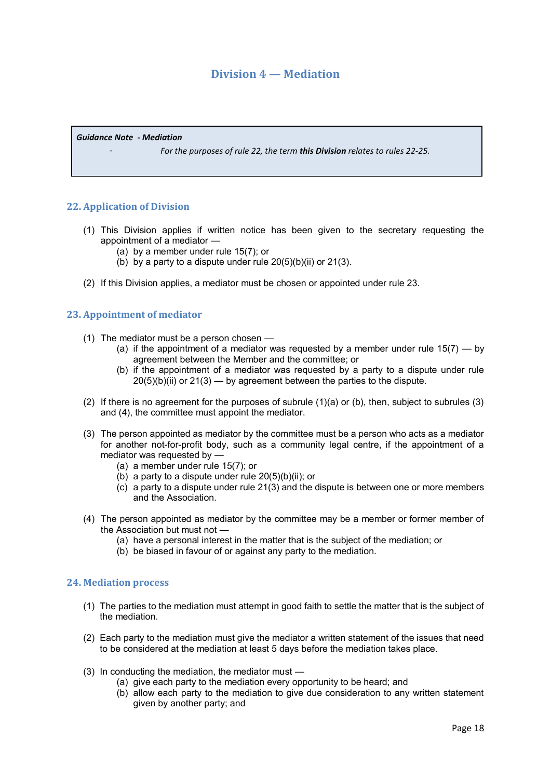# **Division 4 — Mediation**

*Guidance Note - Mediation*

· *For the purposes of rule 22, the term this Division relates to rules 22-25.*

# **22. Application of Division**

- (1) This Division applies if written notice has been given to the secretary requesting the appointment of a mediator —
	- (a) by a member under rule 15(7); or
	- (b) by a party to a dispute under rule 20(5)(b)(ii) or 21(3).
- (2) If this Division applies, a mediator must be chosen or appointed under rule 23.

#### **23. Appointment of mediator**

- (1) The mediator must be a person chosen
	- (a) if the appointment of a mediator was requested by a member under rule  $15(7)$  by agreement between the Member and the committee; or
	- (b) if the appointment of a mediator was requested by a party to a dispute under rule  $20(5)(b)(ii)$  or  $21(3)$  — by agreement between the parties to the dispute.
- (2) If there is no agreement for the purposes of subrule (1)(a) or (b), then, subject to subrules (3) and (4), the committee must appoint the mediator.
- (3) The person appointed as mediator by the committee must be a person who acts as a mediator for another not-for-profit body, such as a community legal centre, if the appointment of a mediator was requested by —
	- (a) a member under rule 15(7); or
	- (b) a party to a dispute under rule  $20(5)(b)(ii)$ ; or
	- (c) a party to a dispute under rule 21(3) and the dispute is between one or more members and the Association.
- (4) The person appointed as mediator by the committee may be a member or former member of the Association but must not —
	- (a) have a personal interest in the matter that is the subject of the mediation; or
	- (b) be biased in favour of or against any party to the mediation.

#### **24. Mediation process**

- (1) The parties to the mediation must attempt in good faith to settle the matter that is the subject of the mediation.
- (2) Each party to the mediation must give the mediator a written statement of the issues that need to be considered at the mediation at least 5 days before the mediation takes place.
- (3) In conducting the mediation, the mediator must
	- (a) give each party to the mediation every opportunity to be heard; and
	- (b) allow each party to the mediation to give due consideration to any written statement given by another party; and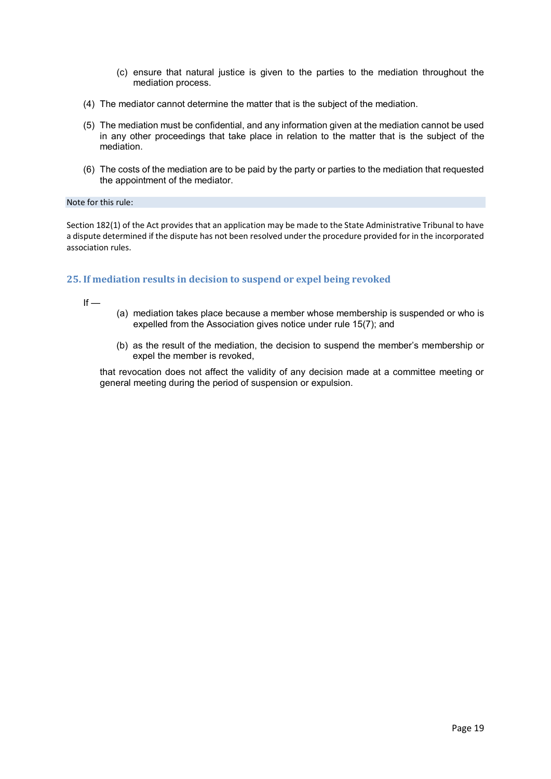- (c) ensure that natural justice is given to the parties to the mediation throughout the mediation process.
- (4) The mediator cannot determine the matter that is the subject of the mediation.
- (5) The mediation must be confidential, and any information given at the mediation cannot be used in any other proceedings that take place in relation to the matter that is the subject of the mediation.
- (6) The costs of the mediation are to be paid by the party or parties to the mediation that requested the appointment of the mediator.

#### Note for this rule:

Section 182(1) of the Act provides that an application may be made to the State Administrative Tribunal to have a dispute determined if the dispute has not been resolved under the procedure provided for in the incorporated association rules.

# **25. If mediation results in decision to suspend or expel being revoked**

 $If -$ 

- (a) mediation takes place because a member whose membership is suspended or who is expelled from the Association gives notice under rule 15(7); and
- (b) as the result of the mediation, the decision to suspend the member's membership or expel the member is revoked,

that revocation does not affect the validity of any decision made at a committee meeting or general meeting during the period of suspension or expulsion.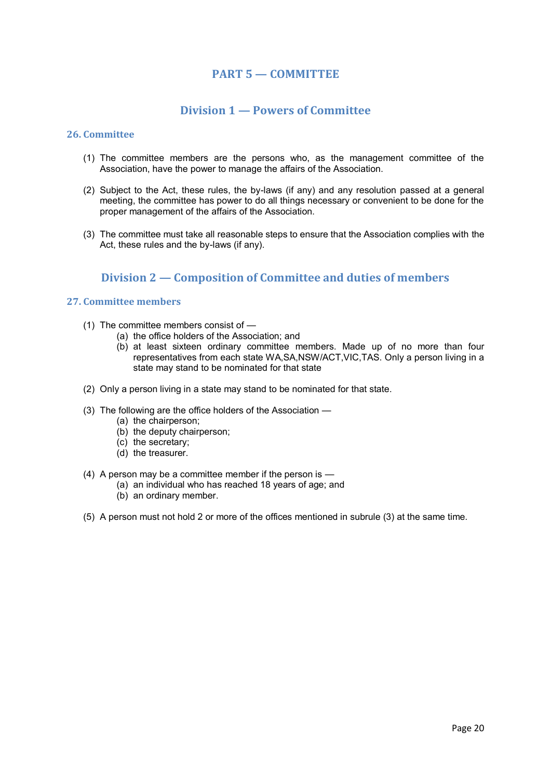# **PART 5 — COMMITTEE**

# **Division 1 — Powers of Committee**

#### **26. Committee**

- (1) The committee members are the persons who, as the management committee of the Association, have the power to manage the affairs of the Association.
- (2) Subject to the Act, these rules, the by-laws (if any) and any resolution passed at a general meeting, the committee has power to do all things necessary or convenient to be done for the proper management of the affairs of the Association.
- (3) The committee must take all reasonable steps to ensure that the Association complies with the Act, these rules and the by-laws (if any).

# **Division 2 — Composition of Committee and duties of members**

# **27. Committee members**

- (1) The committee members consist of
	- (a) the office holders of the Association; and
	- (b) at least sixteen ordinary committee members. Made up of no more than four representatives from each state WA,SA,NSW/ACT,VIC,TAS. Only a person living in a state may stand to be nominated for that state
- (2) Only a person living in a state may stand to be nominated for that state.
- (3) The following are the office holders of the Association
	- (a) the chairperson;
	- (b) the deputy chairperson;
	- (c) the secretary;
	- (d) the treasurer.
- (4) A person may be a committee member if the person is
	- (a) an individual who has reached 18 years of age; and
	- (b) an ordinary member.
- (5) A person must not hold 2 or more of the offices mentioned in subrule (3) at the same time.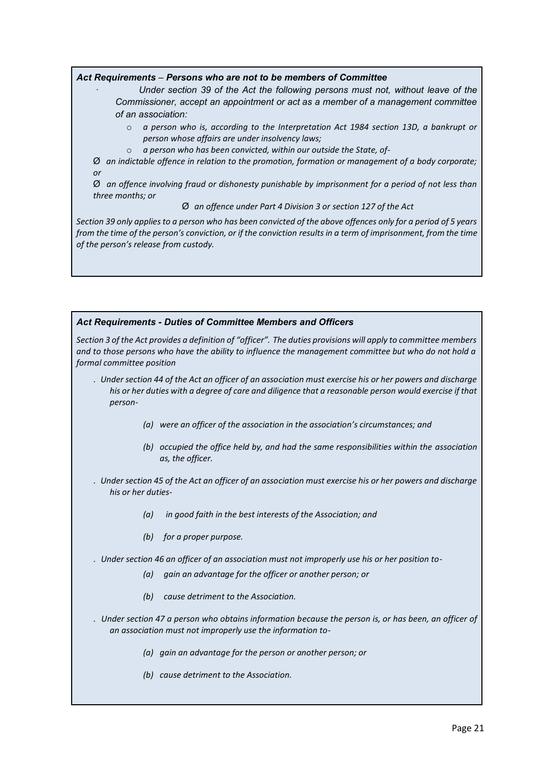#### *Act Requirements – Persons who are not to be members of Committee*

- · *Under section 39 of the Act the following persons must not, without leave of the Commissioner, accept an appointment or act as a member of a management committee of an association:*
	- o *a person who is, according to the Interpretation Act 1984 section 13D, a bankrupt or person whose affairs are under insolvency laws;*
	- o *a person who has been convicted, within our outside the State, of-*

Ø *an indictable offence in relation to the promotion, formation or management of a body corporate; or*

Ø *an offence involving fraud or dishonesty punishable by imprisonment for a period of not less than three months; or*

Ø *an offence under Part 4 Division 3 or section 127 of the Act*

*Section 39 only applies to a person who has been convicted of the above offences only for a period of 5 years from the time of the person's conviction, or if the conviction results in a term of imprisonment, from the time of the person's release from custody.*

# *Act Requirements - Duties of Committee Members and Officers*

*Section 3 of the Act provides a definition of "officer". The duties provisions will apply to committee members and to those persons who have the ability to influence the management committee but who do not hold a formal committee position*

- . *Under section 44 of the Act an officer of an association must exercise his or her powers and discharge his or her duties with a degree of care and diligence that a reasonable person would exercise if that person-*
	- *(a) were an officer of the association in the association's circumstances; and*
	- *(b) occupied the office held by, and had the same responsibilities within the association as, the officer.*
- . *Under section 45 of the Act an officer of an association must exercise his or her powers and discharge his or her duties-*
	- *(a) in good faith in the best interests of the Association; and*
	- *(b) for a proper purpose.*
- . *Under section 46 an officer of an association must not improperly use his or her position to-*
	- *(a) gain an advantage for the officer or another person; or*
	- *(b) cause detriment to the Association.*
- . *Under section 47 a person who obtains information because the person is, or has been, an officer of an association must not improperly use the information to-*
	- *(a) gain an advantage for the person or another person; or*
	- *(b) cause detriment to the Association.*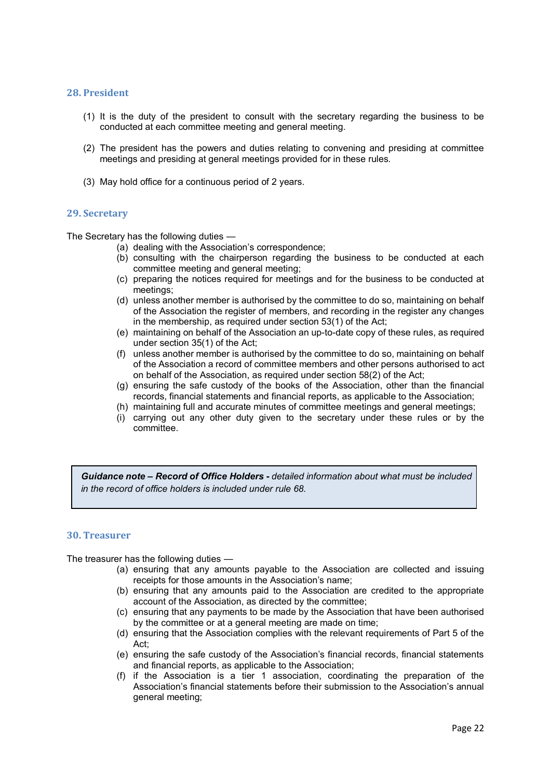#### **28. President**

- (1) It is the duty of the president to consult with the secretary regarding the business to be conducted at each committee meeting and general meeting.
- (2) The president has the powers and duties relating to convening and presiding at committee meetings and presiding at general meetings provided for in these rules.
- (3) May hold office for a continuous period of 2 years.

#### **29. Secretary**

The Secretary has the following duties —

- (a) dealing with the Association's correspondence;
- (b) consulting with the chairperson regarding the business to be conducted at each committee meeting and general meeting;
- (c) preparing the notices required for meetings and for the business to be conducted at meetings;
- (d) unless another member is authorised by the committee to do so, maintaining on behalf of the Association the register of members, and recording in the register any changes in the membership, as required under section 53(1) of the Act;
- (e) maintaining on behalf of the Association an up-to-date copy of these rules, as required under section 35(1) of the Act;
- (f) unless another member is authorised by the committee to do so, maintaining on behalf of the Association a record of committee members and other persons authorised to act on behalf of the Association, as required under section 58(2) of the Act;
- (g) ensuring the safe custody of the books of the Association, other than the financial records, financial statements and financial reports, as applicable to the Association;
- (h) maintaining full and accurate minutes of committee meetings and general meetings;
- (i) carrying out any other duty given to the secretary under these rules or by the committee.

*Guidance note – Record of Office Holders* **-** *detailed information about what must be included in the record of office holders is included under rule 68.*

#### **30. Treasurer**

The treasurer has the following duties —

- (a) ensuring that any amounts payable to the Association are collected and issuing receipts for those amounts in the Association's name;
- (b) ensuring that any amounts paid to the Association are credited to the appropriate account of the Association, as directed by the committee;
- (c) ensuring that any payments to be made by the Association that have been authorised by the committee or at a general meeting are made on time;
- (d) ensuring that the Association complies with the relevant requirements of Part 5 of the Act;
- (e) ensuring the safe custody of the Association's financial records, financial statements and financial reports, as applicable to the Association;
- (f) if the Association is a tier 1 association, coordinating the preparation of the Association's financial statements before their submission to the Association's annual general meeting;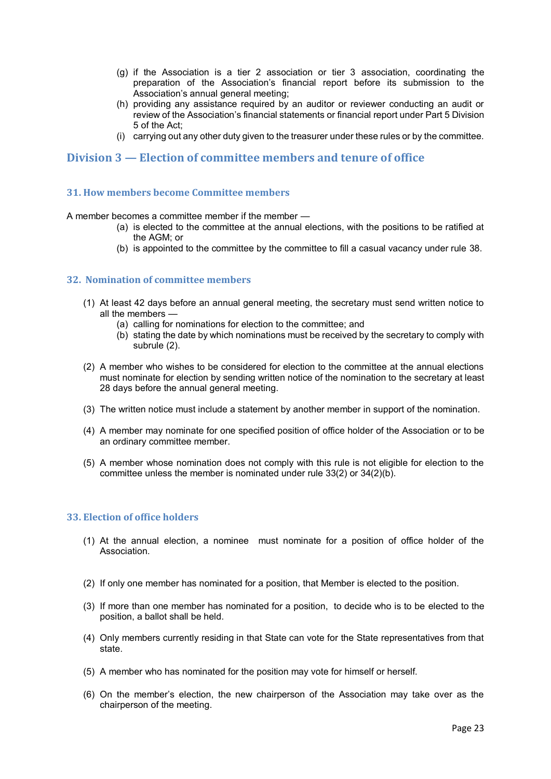- (g) if the Association is a tier 2 association or tier 3 association, coordinating the preparation of the Association's financial report before its submission to the Association's annual general meeting;
- (h) providing any assistance required by an auditor or reviewer conducting an audit or review of the Association's financial statements or financial report under Part 5 Division 5 of the Act;
- (i) carrying out any other duty given to the treasurer under these rules or by the committee.

# **Division 3 — Election of committee members and tenure of office**

## **31. How members become Committee members**

A member becomes a committee member if the member —

- (a) is elected to the committee at the annual elections, with the positions to be ratified at the AGM; or
- (b) is appointed to the committee by the committee to fill a casual vacancy under rule 38.

# **32. Nomination of committee members**

- (1) At least 42 days before an annual general meeting, the secretary must send written notice to all the members —
	- (a) calling for nominations for election to the committee; and
	- (b) stating the date by which nominations must be received by the secretary to comply with subrule (2).
- (2) A member who wishes to be considered for election to the committee at the annual elections must nominate for election by sending written notice of the nomination to the secretary at least 28 days before the annual general meeting.
- (3) The written notice must include a statement by another member in support of the nomination.
- (4) A member may nominate for one specified position of office holder of the Association or to be an ordinary committee member.
- (5) A member whose nomination does not comply with this rule is not eligible for election to the committee unless the member is nominated under rule 33(2) or 34(2)(b).

# **33. Election of office holders**

- (1) At the annual election, a nominee must nominate for a position of office holder of the Association.
- (2) If only one member has nominated for a position, that Member is elected to the position.
- (3) If more than one member has nominated for a position, to decide who is to be elected to the position, a ballot shall be held.
- (4) Only members currently residing in that State can vote for the State representatives from that state.
- (5) A member who has nominated for the position may vote for himself or herself.
- (6) On the member's election, the new chairperson of the Association may take over as the chairperson of the meeting.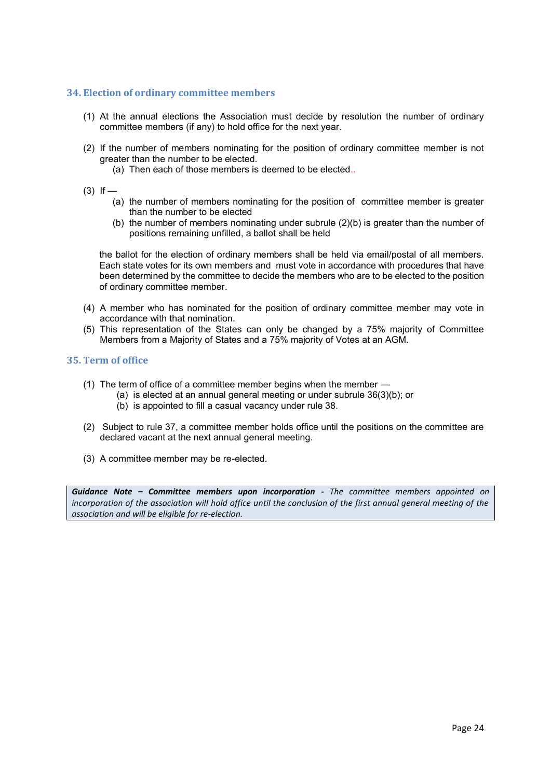# **34. Election of ordinary committee members**

- (1) At the annual elections the Association must decide by resolution the number of ordinary committee members (if any) to hold office for the next year.
- (2) If the number of members nominating for the position of ordinary committee member is not greater than the number to be elected.
	- (a) Then each of those members is deemed to be elected..
- $(3)$  If
	- (a) the number of members nominating for the position of committee member is greater than the number to be elected
	- (b) the number of members nominating under subrule  $(2)(b)$  is greater than the number of positions remaining unfilled, a ballot shall be held

the ballot for the election of ordinary members shall be held via email/postal of all members. Each state votes for its own members and must vote in accordance with procedures that have been determined by the committee to decide the members who are to be elected to the position of ordinary committee member.

- (4) A member who has nominated for the position of ordinary committee member may vote in accordance with that nomination.
- (5) This representation of the States can only be changed by a 75% majority of Committee Members from a Majority of States and a 75% majority of Votes at an AGM.

#### **35. Term of office**

- (1) The term of office of a committee member begins when the member
	- (a) is elected at an annual general meeting or under subrule 36(3)(b); or
	- (b) is appointed to fill a casual vacancy under rule 38.
- (2) Subject to rule 37, a committee member holds office until the positions on the committee are declared vacant at the next annual general meeting.
- (3) A committee member may be re-elected.

*Guidance Note – Committee members upon incorporation - The committee members appointed on incorporation of the association will hold office until the conclusion of the first annual general meeting of the association and will be eligible for re-election.*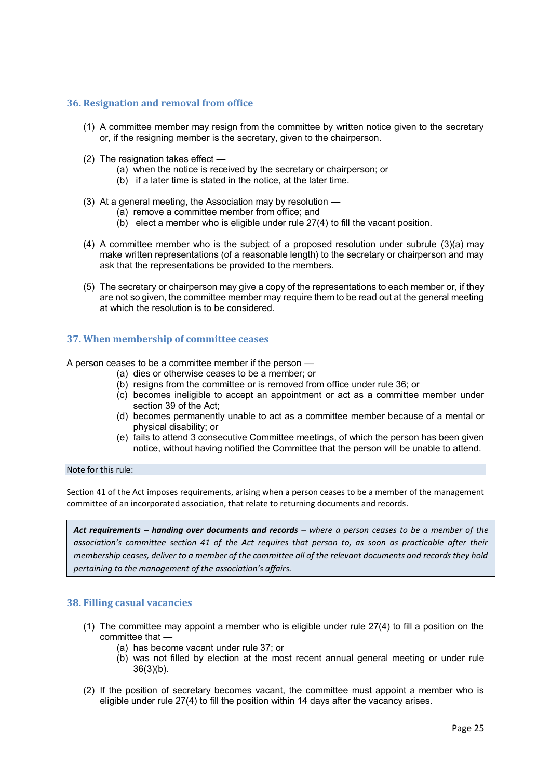## **36. Resignation and removal from office**

- (1) A committee member may resign from the committee by written notice given to the secretary or, if the resigning member is the secretary, given to the chairperson.
- (2) The resignation takes effect
	- (a) when the notice is received by the secretary or chairperson; or
	- (b) if a later time is stated in the notice, at the later time.
- (3) At a general meeting, the Association may by resolution
	- (a) remove a committee member from office; and
	- (b) elect a member who is eligible under rule 27(4) to fill the vacant position.
- (4) A committee member who is the subject of a proposed resolution under subrule (3)(a) may make written representations (of a reasonable length) to the secretary or chairperson and may ask that the representations be provided to the members.
- (5) The secretary or chairperson may give a copy of the representations to each member or, if they are not so given, the committee member may require them to be read out at the general meeting at which the resolution is to be considered.

## **37. When membership of committee ceases**

A person ceases to be a committee member if the person —

- (a) dies or otherwise ceases to be a member; or
- (b) resigns from the committee or is removed from office under rule 36; or
- (c) becomes ineligible to accept an appointment or act as a committee member under section 39 of the Act;
- (d) becomes permanently unable to act as a committee member because of a mental or physical disability; or
- (e) fails to attend 3 consecutive Committee meetings, of which the person has been given notice, without having notified the Committee that the person will be unable to attend.

#### Note for this rule:

Section 41 of the Act imposes requirements, arising when a person ceases to be a member of the management committee of an incorporated association, that relate to returning documents and records.

*Act requirements – handing over documents and records – where a person ceases to be a member of the association's committee section 41 of the Act requires that person to, as soon as practicable after their membership ceases, deliver to a member of the committee all of the relevant documents and records they hold pertaining to the management of the association's affairs.*

# **38. Filling casual vacancies**

- (1) The committee may appoint a member who is eligible under rule 27(4) to fill a position on the committee that —
	- (a) has become vacant under rule 37; or
	- (b) was not filled by election at the most recent annual general meeting or under rule 36(3)(b).
- (2) If the position of secretary becomes vacant, the committee must appoint a member who is eligible under rule 27(4) to fill the position within 14 days after the vacancy arises.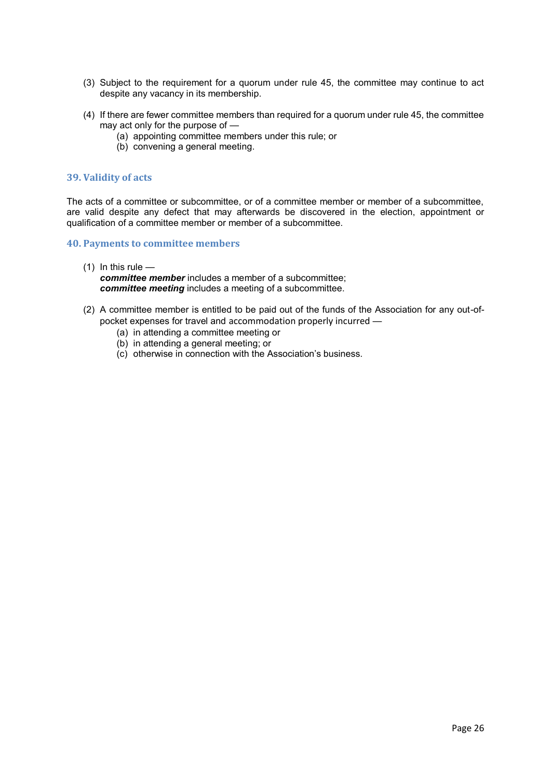- (3) Subject to the requirement for a quorum under rule 45, the committee may continue to act despite any vacancy in its membership.
- (4) If there are fewer committee members than required for a quorum under rule 45, the committee may act only for the purpose of —
	- (a) appointing committee members under this rule; or
	- (b) convening a general meeting.

## **39. Validity of acts**

The acts of a committee or subcommittee, or of a committee member or member of a subcommittee, are valid despite any defect that may afterwards be discovered in the election, appointment or qualification of a committee member or member of a subcommittee.

#### **40. Payments to committee members**

- $(1)$  In this rule *committee member* includes a member of a subcommittee; *committee meeting* includes a meeting of a subcommittee.
- (2) A committee member is entitled to be paid out of the funds of the Association for any out-ofpocket expenses for travel and accommodation properly incurred —
	- (a) in attending a committee meeting or
	- (b) in attending a general meeting; or
	- (c) otherwise in connection with the Association's business.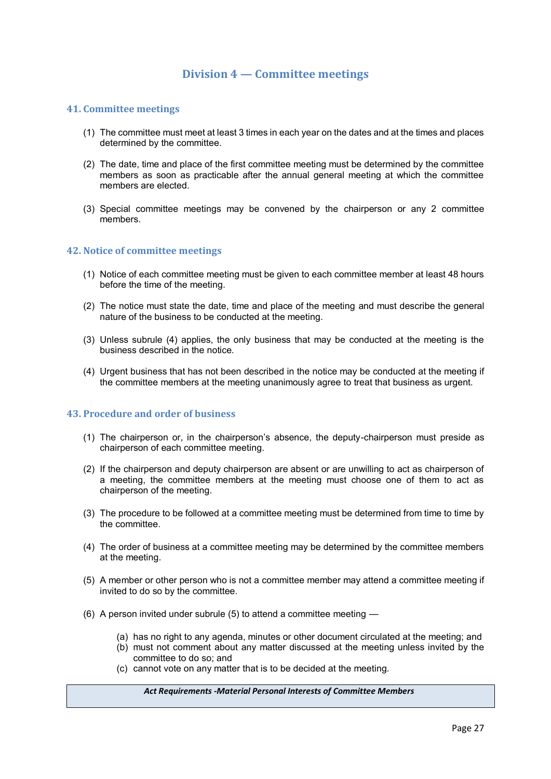# **Division 4 — Committee meetings**

#### **41. Committee meetings**

- (1) The committee must meet at least 3 times in each year on the dates and at the times and places determined by the committee.
- (2) The date, time and place of the first committee meeting must be determined by the committee members as soon as practicable after the annual general meeting at which the committee members are elected.
- (3) Special committee meetings may be convened by the chairperson or any 2 committee members.

#### **42. Notice of committee meetings**

- (1) Notice of each committee meeting must be given to each committee member at least 48 hours before the time of the meeting.
- (2) The notice must state the date, time and place of the meeting and must describe the general nature of the business to be conducted at the meeting.
- (3) Unless subrule (4) applies, the only business that may be conducted at the meeting is the business described in the notice.
- (4) Urgent business that has not been described in the notice may be conducted at the meeting if the committee members at the meeting unanimously agree to treat that business as urgent.

#### **43. Procedure and order of business**

- (1) The chairperson or, in the chairperson's absence, the deputy-chairperson must preside as chairperson of each committee meeting.
- (2) If the chairperson and deputy chairperson are absent or are unwilling to act as chairperson of a meeting, the committee members at the meeting must choose one of them to act as chairperson of the meeting.
- (3) The procedure to be followed at a committee meeting must be determined from time to time by the committee.
- (4) The order of business at a committee meeting may be determined by the committee members at the meeting.
- (5) A member or other person who is not a committee member may attend a committee meeting if invited to do so by the committee.
- (6) A person invited under subrule (5) to attend a committee meeting
	- (a) has no right to any agenda, minutes or other document circulated at the meeting; and
	- (b) must not comment about any matter discussed at the meeting unless invited by the committee to do so; and
	- (c) cannot vote on any matter that is to be decided at the meeting.

#### *Act Requirements -Material Personal Interests of Committee Members*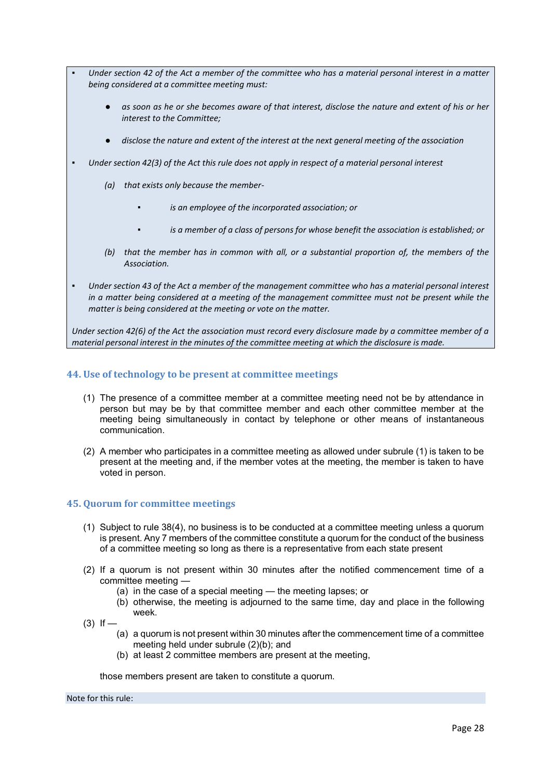- Under section 42 of the Act a member of the committee who has a material personal interest in a matter *being considered at a committee meeting must:* 
	- as soon as he or she becomes aware of that interest, disclose the nature and extent of his or her *interest to the Committee;*
	- *disclose the nature and extent of the interest at the next general meeting of the association*
- Under section 42(3) of the Act this rule does not apply in respect of a material personal interest
	- *(a) that exists only because the member-*
		- *is an employee of the incorporated association; or*
		- *is a member of a class of persons for whose benefit the association is established; or*
	- *(b) that the member has in common with all, or a substantial proportion of, the members of the Association.*
- Under section 43 of the Act a member of the management committee who has a material personal interest *in a matter being considered at a meeting of the management committee must not be present while the matter is being considered at the meeting or vote on the matter.*

*Under section 42(6) of the Act the association must record every disclosure made by a committee member of a material personal interest in the minutes of the committee meeting at which the disclosure is made.*

## **44. Use of technology to be present at committee meetings**

- (1) The presence of a committee member at a committee meeting need not be by attendance in person but may be by that committee member and each other committee member at the meeting being simultaneously in contact by telephone or other means of instantaneous communication.
- (2) A member who participates in a committee meeting as allowed under subrule (1) is taken to be present at the meeting and, if the member votes at the meeting, the member is taken to have voted in person.

# **45. Quorum for committee meetings**

- (1) Subject to rule 38(4), no business is to be conducted at a committee meeting unless a quorum is present. Any 7 members of the committee constitute a quorum for the conduct of the business of a committee meeting so long as there is a representative from each state present
- (2) If a quorum is not present within 30 minutes after the notified commencement time of a committee meeting —
	- (a) in the case of a special meeting the meeting lapses; or
	- (b) otherwise, the meeting is adjourned to the same time, day and place in the following week.
- $(3)$  If
	- (a) a quorum is not present within 30 minutes after the commencement time of a committee meeting held under subrule (2)(b); and
	- (b) at least 2 committee members are present at the meeting,

those members present are taken to constitute a quorum.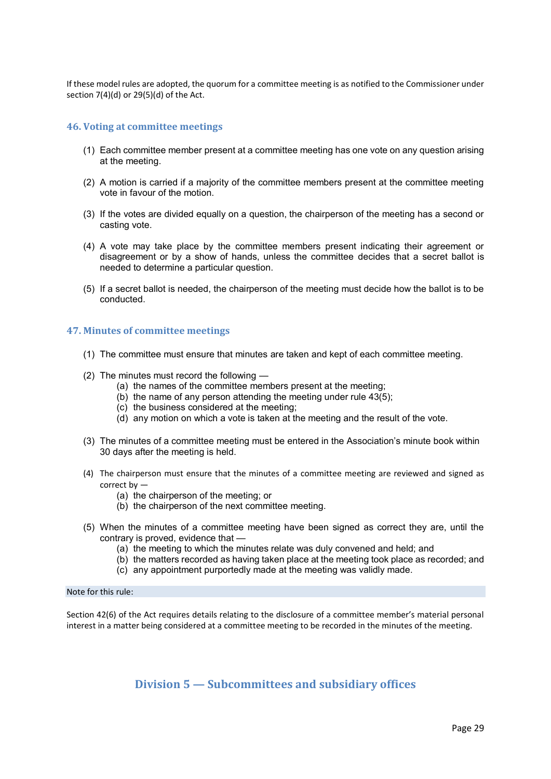If these model rules are adopted, the quorum for a committee meeting is as notified to the Commissioner under section 7(4)(d) or 29(5)(d) of the Act.

#### **46. Voting at committee meetings**

- (1) Each committee member present at a committee meeting has one vote on any question arising at the meeting.
- (2) A motion is carried if a majority of the committee members present at the committee meeting vote in favour of the motion.
- (3) If the votes are divided equally on a question, the chairperson of the meeting has a second or casting vote.
- (4) A vote may take place by the committee members present indicating their agreement or disagreement or by a show of hands, unless the committee decides that a secret ballot is needed to determine a particular question.
- (5) If a secret ballot is needed, the chairperson of the meeting must decide how the ballot is to be conducted.

## **47. Minutes of committee meetings**

- (1) The committee must ensure that minutes are taken and kept of each committee meeting.
- (2) The minutes must record the following
	- (a) the names of the committee members present at the meeting;
	- (b) the name of any person attending the meeting under rule 43(5);
	- (c) the business considered at the meeting;
	- (d) any motion on which a vote is taken at the meeting and the result of the vote.
- (3) The minutes of a committee meeting must be entered in the Association's minute book within 30 days after the meeting is held.
- (4) The chairperson must ensure that the minutes of a committee meeting are reviewed and signed as correct by —
	- (a) the chairperson of the meeting; or
	- (b) the chairperson of the next committee meeting.
- (5) When the minutes of a committee meeting have been signed as correct they are, until the contrary is proved, evidence that —
	- (a) the meeting to which the minutes relate was duly convened and held; and
	- (b) the matters recorded as having taken place at the meeting took place as recorded; and
	- (c) any appointment purportedly made at the meeting was validly made.

#### Note for this rule:

Section 42(6) of the Act requires details relating to the disclosure of a committee member's material personal interest in a matter being considered at a committee meeting to be recorded in the minutes of the meeting.

**Division 5 — Subcommittees and subsidiary offices**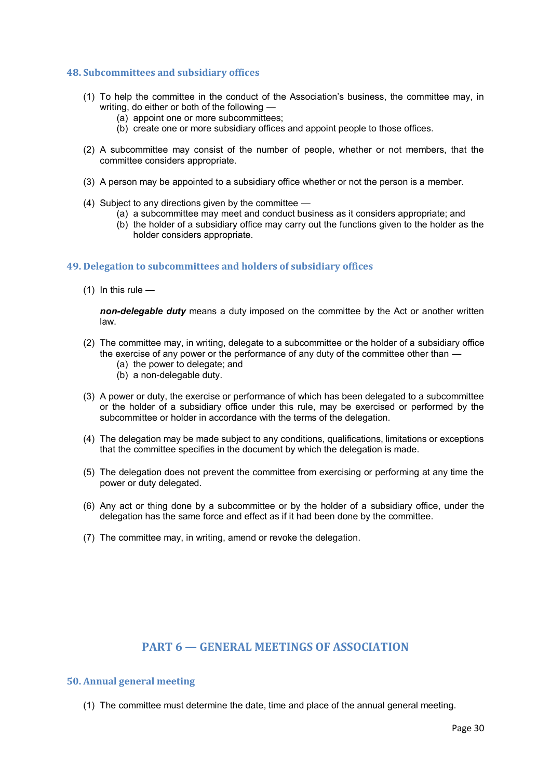#### **48. Subcommittees and subsidiary offices**

- (1) To help the committee in the conduct of the Association's business, the committee may, in writing, do either or both of the following —
	- (a) appoint one or more subcommittees;
	- (b) create one or more subsidiary offices and appoint people to those offices.
- (2) A subcommittee may consist of the number of people, whether or not members, that the committee considers appropriate.
- (3) A person may be appointed to a subsidiary office whether or not the person is a member.
- (4) Subject to any directions given by the committee
	- (a) a subcommittee may meet and conduct business as it considers appropriate; and
	- (b) the holder of a subsidiary office may carry out the functions given to the holder as the holder considers appropriate.

## **49. Delegation to subcommittees and holders of subsidiary offices**

 $(1)$  In this rule  $-$ 

*non-delegable duty* means a duty imposed on the committee by the Act or another written law.

- (2) The committee may, in writing, delegate to a subcommittee or the holder of a subsidiary office the exercise of any power or the performance of any duty of the committee other than —
	- (a) the power to delegate; and
	- (b) a non-delegable duty.
- (3) A power or duty, the exercise or performance of which has been delegated to a subcommittee or the holder of a subsidiary office under this rule, may be exercised or performed by the subcommittee or holder in accordance with the terms of the delegation.
- (4) The delegation may be made subject to any conditions, qualifications, limitations or exceptions that the committee specifies in the document by which the delegation is made.
- (5) The delegation does not prevent the committee from exercising or performing at any time the power or duty delegated.
- (6) Any act or thing done by a subcommittee or by the holder of a subsidiary office, under the delegation has the same force and effect as if it had been done by the committee.
- (7) The committee may, in writing, amend or revoke the delegation.

# **PART 6 — GENERAL MEETINGS OF ASSOCIATION**

#### **50. Annual general meeting**

(1) The committee must determine the date, time and place of the annual general meeting.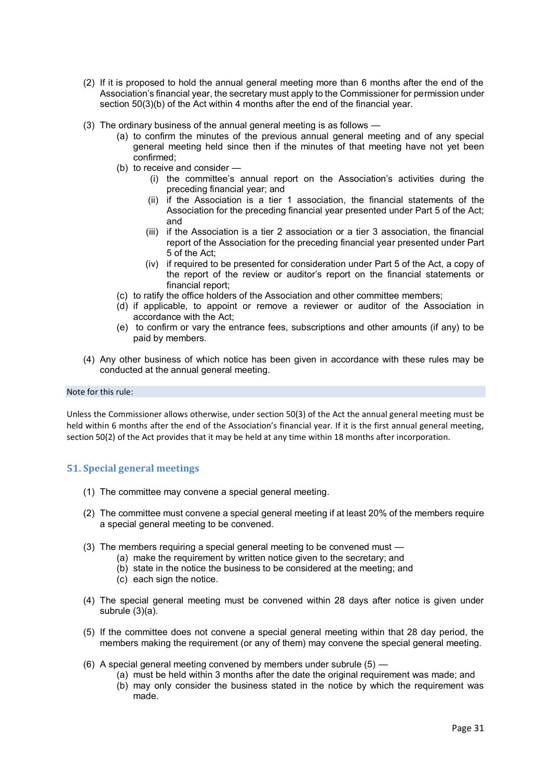- (2) If it is proposed to hold the annual general meeting more than 6 months after the end of the Association's financial year, the secretary must apply to the Commissioner for permission under section 50(3)(b) of the Act within 4 months after the end of the financial year.
- (3) The ordinary business of the annual general meeting is as follows
	- (a) to confirm the minutes of the previous annual general meeting and of any special general meeting held since then if the minutes of that meeting have not yet been confirmed;
	- (b) to receive and consider
		- (i) the committee's annual report on the Association's activities during the preceding financial year; and
		- (ii) if the Association is a tier 1 association, the financial statements of the Association for the preceding financial year presented under Part 5 of the Act; and
		- (iii) if the Association is a tier 2 association or a tier 3 association, the financial report of the Association for the preceding financial year presented under Part 5 of the Act;
		- (iv) if required to be presented for consideration under Part 5 of the Act, a copy of the report of the review or auditor's report on the financial statements or financial report;
	- (c) to ratify the office holders of the Association and other committee members;
	- (d) if applicable, to appoint or remove a reviewer or auditor of the Association in accordance with the Act;
	- (e) to confirm or vary the entrance fees, subscriptions and other amounts (if any) to be paid by members.
- (4) Any other business of which notice has been given in accordance with these rules may be conducted at the annual general meeting.

#### Note for this rule:

Unless the Commissioner allows otherwise, under section 50(3) of the Act the annual general meeting must be held within 6 months after the end of the Association's financial year. If it is the first annual general meeting, section 50(2) of the Act provides that it may be held at any time within 18 months after incorporation.

# **51. Special general meetings**

- (1) The committee may convene a special general meeting.
- (2) The committee must convene a special general meeting if at least 20% of the members require a special general meeting to be convened.
- (3) The members requiring a special general meeting to be convened must
	- (a) make the requirement by written notice given to the secretary; and
	- (b) state in the notice the business to be considered at the meeting; and
	- (c) each sign the notice.
- (4) The special general meeting must be convened within 28 days after notice is given under subrule (3)(a).
- (5) If the committee does not convene a special general meeting within that 28 day period, the members making the requirement (or any of them) may convene the special general meeting.
- (6) A special general meeting convened by members under subrule (5)
	- (a) must be held within 3 months after the date the original requirement was made; and
		- (b) may only consider the business stated in the notice by which the requirement was made.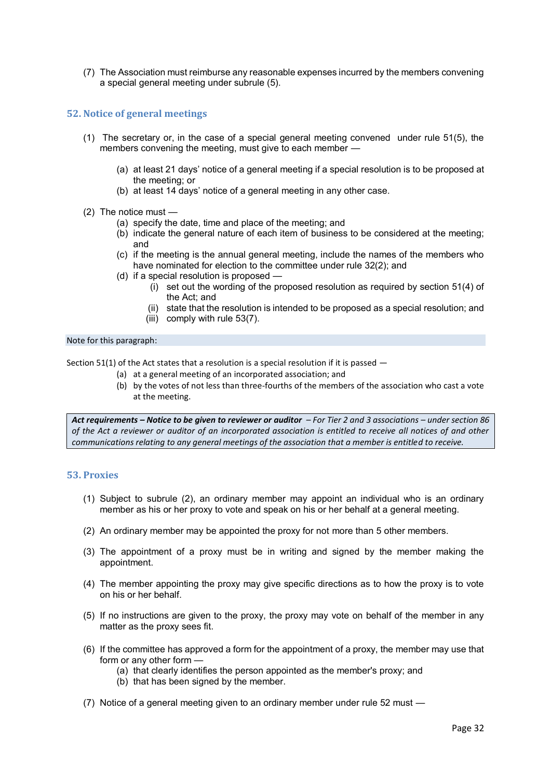(7) The Association must reimburse any reasonable expenses incurred by the members convening a special general meeting under subrule (5).

## **52. Notice of general meetings**

- (1) The secretary or, in the case of a special general meeting convened under rule 51(5), the members convening the meeting, must give to each member —
	- (a) at least 21 days' notice of a general meeting if a special resolution is to be proposed at the meeting; or
	- (b) at least 14 days' notice of a general meeting in any other case.
- (2) The notice must
	- (a) specify the date, time and place of the meeting; and
	- (b) indicate the general nature of each item of business to be considered at the meeting; and
	- (c) if the meeting is the annual general meeting, include the names of the members who have nominated for election to the committee under rule 32(2); and
	- (d) if a special resolution is proposed
		- (i) set out the wording of the proposed resolution as required by section 51(4) of the Act; and
		- (ii) state that the resolution is intended to be proposed as a special resolution; and
		- (iii) comply with rule 53(7).

#### Note for this paragraph:

Section 51(1) of the Act states that a resolution is a special resolution if it is passed  $-$ 

- (a) at a general meeting of an incorporated association; and
- (b) by the votes of not less than three-fourths of the members of the association who cast a vote at the meeting.

*Act requirements – Notice to be given to reviewer or auditor – For Tier 2 and 3 associations – under section 86 of the Act a reviewer or auditor of an incorporated association is entitled to receive all notices of and other communications relating to any general meetings of the association that a member is entitled to receive.*

#### **53. Proxies**

- (1) Subject to subrule (2), an ordinary member may appoint an individual who is an ordinary member as his or her proxy to vote and speak on his or her behalf at a general meeting.
- (2) An ordinary member may be appointed the proxy for not more than 5 other members.
- (3) The appointment of a proxy must be in writing and signed by the member making the appointment.
- (4) The member appointing the proxy may give specific directions as to how the proxy is to vote on his or her behalf.
- (5) If no instructions are given to the proxy, the proxy may vote on behalf of the member in any matter as the proxy sees fit.
- (6) If the committee has approved a form for the appointment of a proxy, the member may use that form or any other form —
	- (a) that clearly identifies the person appointed as the member's proxy; and
	- (b) that has been signed by the member.
- (7) Notice of a general meeting given to an ordinary member under rule 52 must —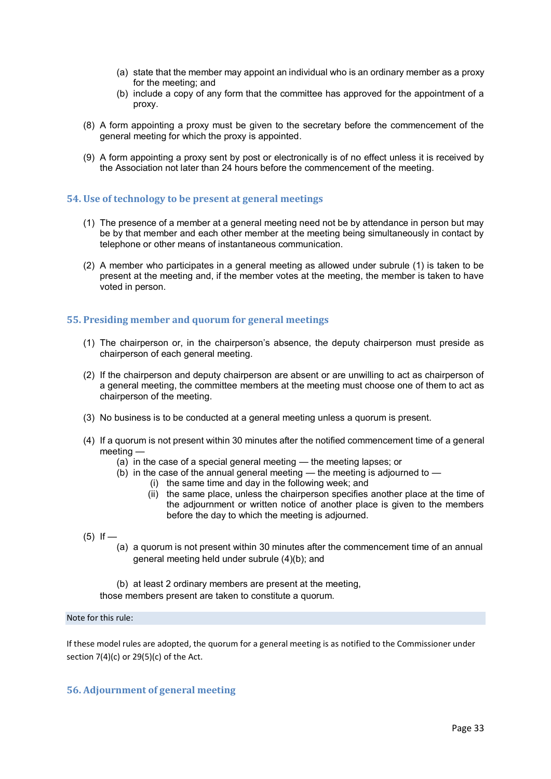- (a) state that the member may appoint an individual who is an ordinary member as a proxy for the meeting; and
- (b) include a copy of any form that the committee has approved for the appointment of a proxy.
- (8) A form appointing a proxy must be given to the secretary before the commencement of the general meeting for which the proxy is appointed.
- (9) A form appointing a proxy sent by post or electronically is of no effect unless it is received by the Association not later than 24 hours before the commencement of the meeting.

## **54. Use of technology to be present at general meetings**

- (1) The presence of a member at a general meeting need not be by attendance in person but may be by that member and each other member at the meeting being simultaneously in contact by telephone or other means of instantaneous communication.
- (2) A member who participates in a general meeting as allowed under subrule (1) is taken to be present at the meeting and, if the member votes at the meeting, the member is taken to have voted in person.

# **55. Presiding member and quorum for general meetings**

- (1) The chairperson or, in the chairperson's absence, the deputy chairperson must preside as chairperson of each general meeting.
- (2) If the chairperson and deputy chairperson are absent or are unwilling to act as chairperson of a general meeting, the committee members at the meeting must choose one of them to act as chairperson of the meeting.
- (3) No business is to be conducted at a general meeting unless a quorum is present.
- (4) If a quorum is not present within 30 minutes after the notified commencement time of a general meeting —
	- (a) in the case of a special general meeting the meeting lapses; or
	- $(b)$  in the case of the annual general meeting the meeting is adjourned to
		- (i) the same time and day in the following week; and
		- (ii) the same place, unless the chairperson specifies another place at the time of the adjournment or written notice of another place is given to the members before the day to which the meeting is adjourned.
- $(5)$  If
	- (a) a quorum is not present within 30 minutes after the commencement time of an annual general meeting held under subrule (4)(b); and
	- (b) at least 2 ordinary members are present at the meeting,

those members present are taken to constitute a quorum.

#### Note for this rule:

If these model rules are adopted, the quorum for a general meeting is as notified to the Commissioner under section 7(4)(c) or 29(5)(c) of the Act.

# **56. Adjournment of general meeting**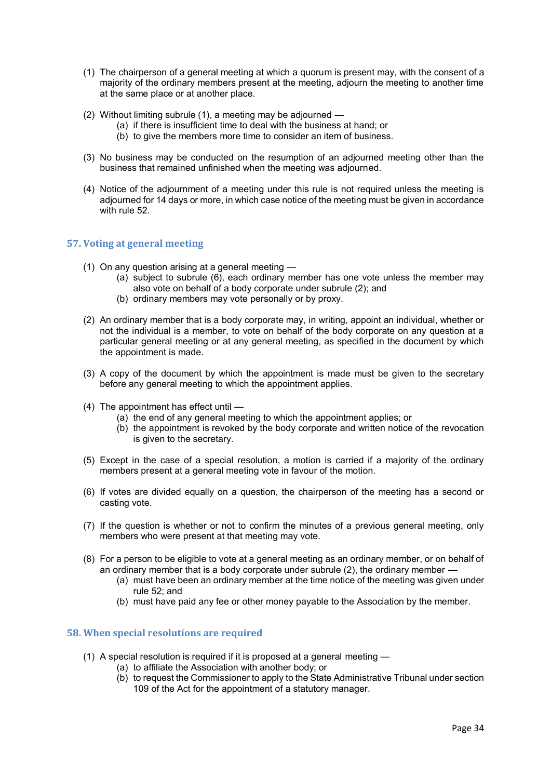- (1) The chairperson of a general meeting at which a quorum is present may, with the consent of a majority of the ordinary members present at the meeting, adjourn the meeting to another time at the same place or at another place.
- (2) Without limiting subrule (1), a meeting may be adjourned
	- (a) if there is insufficient time to deal with the business at hand; or
	- (b) to give the members more time to consider an item of business.
- (3) No business may be conducted on the resumption of an adjourned meeting other than the business that remained unfinished when the meeting was adjourned.
- (4) Notice of the adjournment of a meeting under this rule is not required unless the meeting is adjourned for 14 days or more, in which case notice of the meeting must be given in accordance with rule 52

# **57. Voting at general meeting**

- (1) On any question arising at a general meeting
	- (a) subject to subrule (6), each ordinary member has one vote unless the member may also vote on behalf of a body corporate under subrule (2); and
	- (b) ordinary members may vote personally or by proxy.
- (2) An ordinary member that is a body corporate may, in writing, appoint an individual, whether or not the individual is a member, to vote on behalf of the body corporate on any question at a particular general meeting or at any general meeting, as specified in the document by which the appointment is made.
- (3) A copy of the document by which the appointment is made must be given to the secretary before any general meeting to which the appointment applies.
- (4) The appointment has effect until
	- (a) the end of any general meeting to which the appointment applies; or
	- (b) the appointment is revoked by the body corporate and written notice of the revocation is given to the secretary.
- (5) Except in the case of a special resolution, a motion is carried if a majority of the ordinary members present at a general meeting vote in favour of the motion.
- (6) If votes are divided equally on a question, the chairperson of the meeting has a second or casting vote.
- (7) If the question is whether or not to confirm the minutes of a previous general meeting, only members who were present at that meeting may vote.
- (8) For a person to be eligible to vote at a general meeting as an ordinary member, or on behalf of an ordinary member that is a body corporate under subrule (2), the ordinary member —
	- (a) must have been an ordinary member at the time notice of the meeting was given under rule 52; and
	- (b) must have paid any fee or other money payable to the Association by the member.

#### **58. When special resolutions are required**

- (1) A special resolution is required if it is proposed at a general meeting
	- (a) to affiliate the Association with another body; or
	- (b) to request the Commissioner to apply to the State Administrative Tribunal under section 109 of the Act for the appointment of a statutory manager.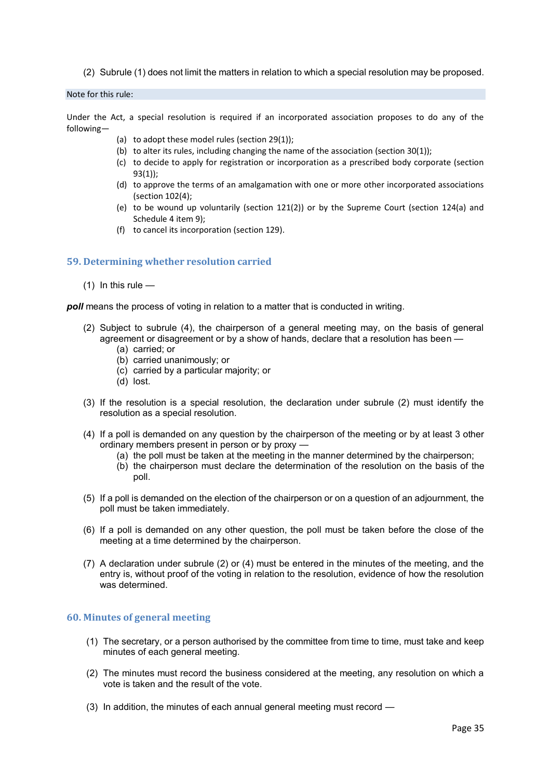(2) Subrule (1) does not limit the matters in relation to which a special resolution may be proposed.

#### Note for this rule:

Under the Act, a special resolution is required if an incorporated association proposes to do any of the following—

- (a) to adopt these model rules (section 29(1));
- (b) to alter its rules, including changing the name of the association (section  $30(1)$ );
- (c) to decide to apply for registration or incorporation as a prescribed body corporate (section 93(1));
- (d) to approve the terms of an amalgamation with one or more other incorporated associations (section 102(4);
- (e) to be wound up voluntarily (section 121(2)) or by the Supreme Court (section 124(a) and Schedule 4 item 9);
- (f) to cancel its incorporation (section 129).

# **59. Determining whether resolution carried**

 $(1)$  In this rule —

*poll* means the process of voting in relation to a matter that is conducted in writing.

- (2) Subject to subrule (4), the chairperson of a general meeting may, on the basis of general agreement or disagreement or by a show of hands, declare that a resolution has been —
	- (a) carried; or
	- (b) carried unanimously; or
	- (c) carried by a particular majority; or
	- (d) lost.
- (3) If the resolution is a special resolution, the declaration under subrule (2) must identify the resolution as a special resolution.
- (4) If a poll is demanded on any question by the chairperson of the meeting or by at least 3 other ordinary members present in person or by proxy -
	- (a) the poll must be taken at the meeting in the manner determined by the chairperson;
	- (b) the chairperson must declare the determination of the resolution on the basis of the poll.
- (5) If a poll is demanded on the election of the chairperson or on a question of an adjournment, the poll must be taken immediately.
- (6) If a poll is demanded on any other question, the poll must be taken before the close of the meeting at a time determined by the chairperson.
- (7) A declaration under subrule (2) or (4) must be entered in the minutes of the meeting, and the entry is, without proof of the voting in relation to the resolution, evidence of how the resolution was determined.

#### **60. Minutes of general meeting**

- (1) The secretary, or a person authorised by the committee from time to time, must take and keep minutes of each general meeting.
- (2) The minutes must record the business considered at the meeting, any resolution on which a vote is taken and the result of the vote.
- (3) In addition, the minutes of each annual general meeting must record —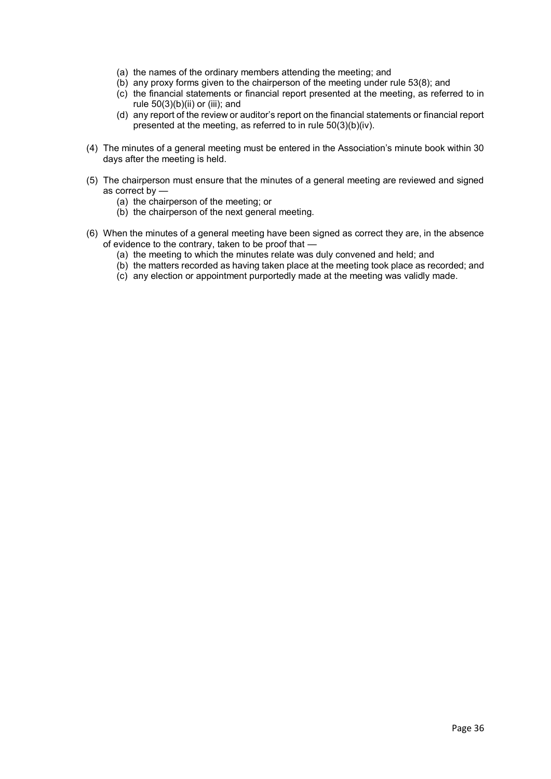- (a) the names of the ordinary members attending the meeting; and
- (b) any proxy forms given to the chairperson of the meeting under rule 53(8); and
- (c) the financial statements or financial report presented at the meeting, as referred to in rule  $50(3)(b)(ii)$  or (iii); and
- (d) any report of the review or auditor's report on the financial statements or financial report presented at the meeting, as referred to in rule 50(3)(b)(iv).
- (4) The minutes of a general meeting must be entered in the Association's minute book within 30 days after the meeting is held.
- (5) The chairperson must ensure that the minutes of a general meeting are reviewed and signed as correct by —
	- (a) the chairperson of the meeting; or
	- (b) the chairperson of the next general meeting.
- (6) When the minutes of a general meeting have been signed as correct they are, in the absence of evidence to the contrary, taken to be proof that —
	- (a) the meeting to which the minutes relate was duly convened and held; and
	- (b) the matters recorded as having taken place at the meeting took place as recorded; and
	- (c) any election or appointment purportedly made at the meeting was validly made.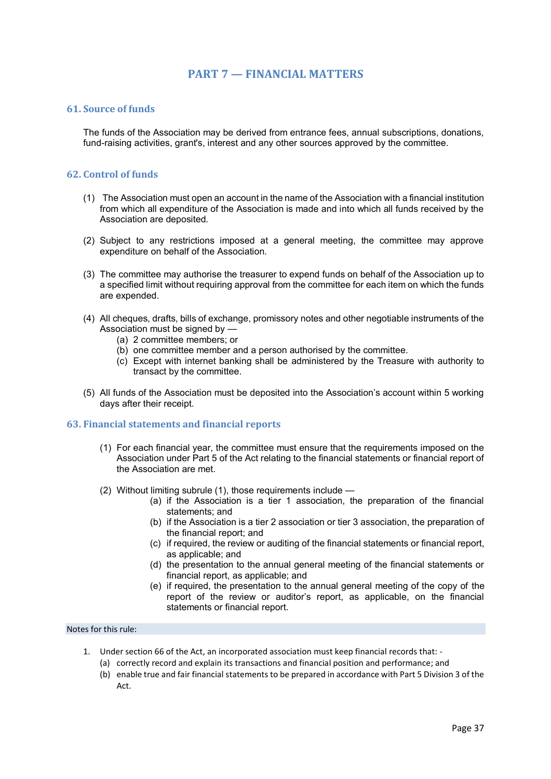# **PART 7 — FINANCIAL MATTERS**

## **61. Source of funds**

The funds of the Association may be derived from entrance fees, annual subscriptions, donations, fund-raising activities, grant's, interest and any other sources approved by the committee.

## **62. Control of funds**

- (1) The Association must open an account in the name of the Association with a financial institution from which all expenditure of the Association is made and into which all funds received by the Association are deposited.
- (2) Subject to any restrictions imposed at a general meeting, the committee may approve expenditure on behalf of the Association.
- (3) The committee may authorise the treasurer to expend funds on behalf of the Association up to a specified limit without requiring approval from the committee for each item on which the funds are expended.
- (4) All cheques, drafts, bills of exchange, promissory notes and other negotiable instruments of the Association must be signed by —
	- (a) 2 committee members; or
	- (b) one committee member and a person authorised by the committee.
	- (c) Except with internet banking shall be administered by the Treasure with authority to transact by the committee.
- (5) All funds of the Association must be deposited into the Association's account within 5 working days after their receipt.

## **63. Financial statements and financial reports**

- (1) For each financial year, the committee must ensure that the requirements imposed on the Association under Part 5 of the Act relating to the financial statements or financial report of the Association are met.
- (2) Without limiting subrule (1), those requirements include
	- (a) if the Association is a tier 1 association, the preparation of the financial statements; and
	- (b) if the Association is a tier 2 association or tier 3 association, the preparation of the financial report; and
	- (c) if required, the review or auditing of the financial statements or financial report, as applicable; and
	- (d) the presentation to the annual general meeting of the financial statements or financial report, as applicable; and
	- (e) if required, the presentation to the annual general meeting of the copy of the report of the review or auditor's report, as applicable, on the financial statements or financial report.

#### Notes for this rule:

- 1. Under section 66 of the Act, an incorporated association must keep financial records that:
	- (a) correctly record and explain its transactions and financial position and performance; and
	- (b) enable true and fair financial statements to be prepared in accordance with Part 5 Division 3 of the Act.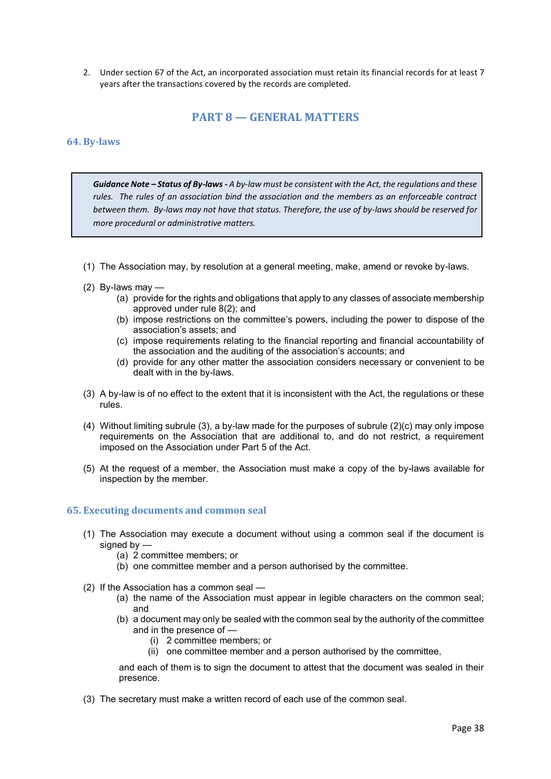2. Under section 67 of the Act, an incorporated association must retain its financial records for at least 7 years after the transactions covered by the records are completed.

# **PART 8 — GENERAL MATTERS**

#### **64. By-laws**

*Guidance Note – Status of By-laws - A by-law must be consistent with the Act, the regulations and these rules. The rules of an association bind the association and the members as an enforceable contract between them. By-laws may not have that status. Therefore, the use of by-laws should be reserved for more procedural or administrative matters.*

- (1) The Association may, by resolution at a general meeting, make, amend or revoke by-laws.
- (2) By-laws may  $-$ 
	- (a) provide for the rights and obligations that apply to any classes of associate membership approved under rule 8(2); and
	- (b) impose restrictions on the committee's powers, including the power to dispose of the association's assets; and
	- (c) impose requirements relating to the financial reporting and financial accountability of the association and the auditing of the association's accounts; and
	- (d) provide for any other matter the association considers necessary or convenient to be dealt with in the by-laws.
- (3) A by-law is of no effect to the extent that it is inconsistent with the Act, the regulations or these rules.
- (4) Without limiting subrule (3), a by-law made for the purposes of subrule (2)(c) may only impose requirements on the Association that are additional to, and do not restrict, a requirement imposed on the Association under Part 5 of the Act.
- (5) At the request of a member, the Association must make a copy of the by-laws available for inspection by the member.

#### **65. Executing documents and common seal**

- (1) The Association may execute a document without using a common seal if the document is signed by —
	- (a) 2 committee members; or
	- (b) one committee member and a person authorised by the committee.
- (2) If the Association has a common seal
	- (a) the name of the Association must appear in legible characters on the common seal; and
	- (b) a document may only be sealed with the common seal by the authority of the committee and in the presence of —
		- (i) 2 committee members; or
		- (ii) one committee member and a person authorised by the committee,

and each of them is to sign the document to attest that the document was sealed in their presence.

(3) The secretary must make a written record of each use of the common seal.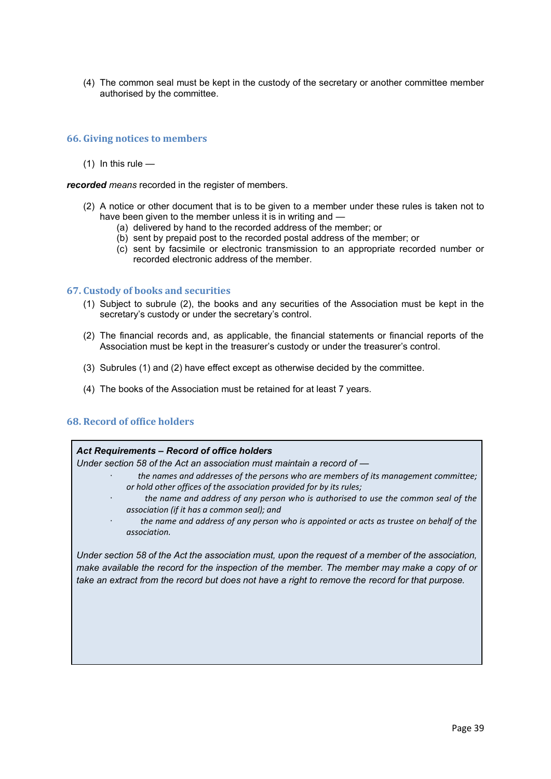(4) The common seal must be kept in the custody of the secretary or another committee member authorised by the committee.

## **66. Giving notices to members**

 $(1)$  In this rule —

*recorded means* recorded in the register of members.

- (2) A notice or other document that is to be given to a member under these rules is taken not to have been given to the member unless it is in writing and —
	- (a) delivered by hand to the recorded address of the member; or
	- (b) sent by prepaid post to the recorded postal address of the member; or
	- (c) sent by facsimile or electronic transmission to an appropriate recorded number or recorded electronic address of the member.

#### **67. Custody of books and securities**

- (1) Subject to subrule (2), the books and any securities of the Association must be kept in the secretary's custody or under the secretary's control.
- (2) The financial records and, as applicable, the financial statements or financial reports of the Association must be kept in the treasurer's custody or under the treasurer's control.
- (3) Subrules (1) and (2) have effect except as otherwise decided by the committee.
- (4) The books of the Association must be retained for at least 7 years.

## **68. Record of office holders**

#### *Act Requirements – Record of office holders*

*Under section 58 of the Act an association must maintain a record of —* 

- · *the names and addresses of the persons who are members of its management committee; or hold other offices of the association provided for by its rules;*
	- the name and address of any person who is authorised to use the common seal of the *association (if it has a common seal); and*
	- · *the name and address of any person who is appointed or acts as trustee on behalf of the association.*

*Under section 58 of the Act the association must, upon the request of a member of the association, make available the record for the inspection of the member. The member may make a copy of or take an extract from the record but does not have a right to remove the record for that purpose.*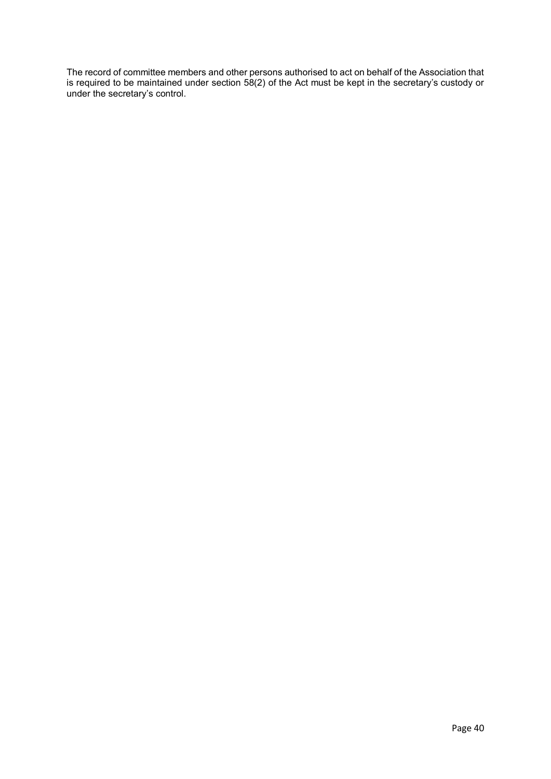The record of committee members and other persons authorised to act on behalf of the Association that is required to be maintained under section 58(2) of the Act must be kept in the secretary's custody or under the secretary's control.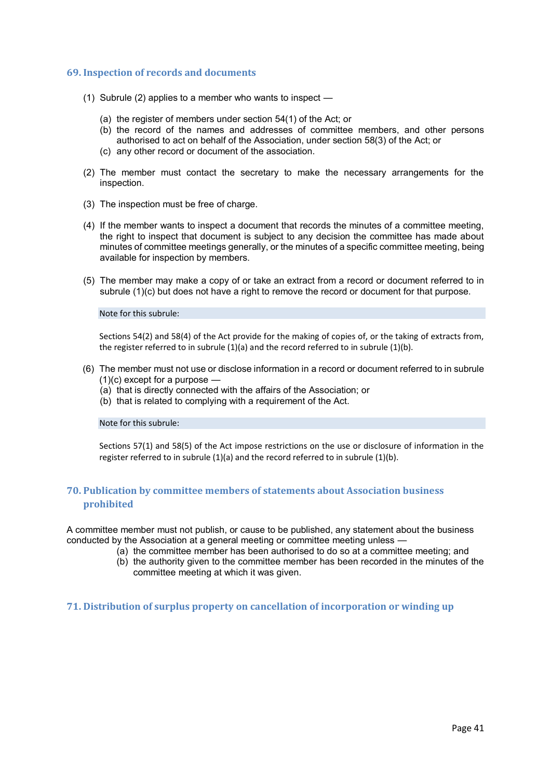#### **69. Inspection of records and documents**

- (1) Subrule (2) applies to a member who wants to inspect
	- (a) the register of members under section 54(1) of the Act; or
	- (b) the record of the names and addresses of committee members, and other persons authorised to act on behalf of the Association, under section 58(3) of the Act; or
	- (c) any other record or document of the association.
- (2) The member must contact the secretary to make the necessary arrangements for the inspection.
- (3) The inspection must be free of charge.
- (4) If the member wants to inspect a document that records the minutes of a committee meeting, the right to inspect that document is subject to any decision the committee has made about minutes of committee meetings generally, or the minutes of a specific committee meeting, being available for inspection by members.
- (5) The member may make a copy of or take an extract from a record or document referred to in subrule (1)(c) but does not have a right to remove the record or document for that purpose.

#### Note for this subrule:

Sections 54(2) and 58(4) of the Act provide for the making of copies of, or the taking of extracts from, the register referred to in subrule (1)(a) and the record referred to in subrule (1)(b).

- (6) The member must not use or disclose information in a record or document referred to in subrule (1)(c) except for a purpose —
	- (a) that is directly connected with the affairs of the Association; or
	- (b) that is related to complying with a requirement of the Act.

#### Note for this subrule:

Sections 57(1) and 58(5) of the Act impose restrictions on the use or disclosure of information in the register referred to in subrule (1)(a) and the record referred to in subrule (1)(b).

# **70. Publication by committee members of statements about Association business prohibited**

A committee member must not publish, or cause to be published, any statement about the business conducted by the Association at a general meeting or committee meeting unless —

- (a) the committee member has been authorised to do so at a committee meeting; and
- (b) the authority given to the committee member has been recorded in the minutes of the committee meeting at which it was given.

**71. Distribution of surplus property on cancellation of incorporation or winding up**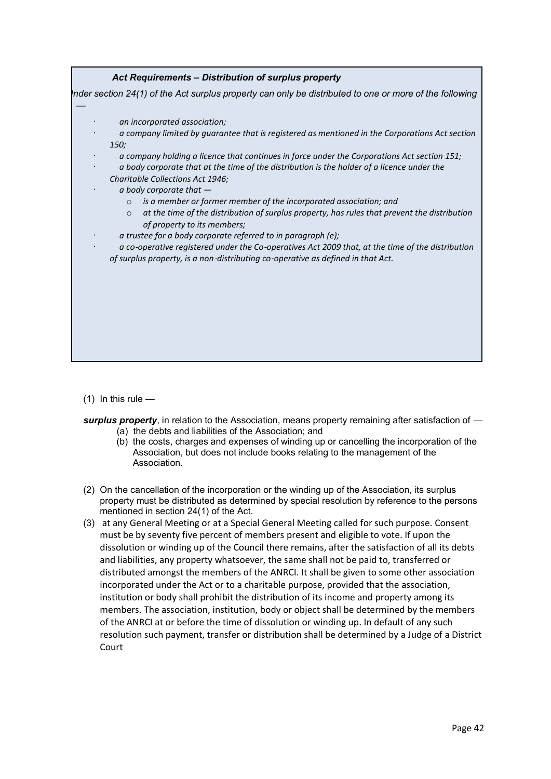| <i>150;</i><br>a company holding a licence that continues in force under the Corporations Act section 151;<br>a body corporate that at the time of the distribution is the holder of a licence under the<br>Charitable Collections Act 1946;<br>a body corporate that $-$<br>is a member or former member of the incorporated association; and<br>$\circ$                                     |
|-----------------------------------------------------------------------------------------------------------------------------------------------------------------------------------------------------------------------------------------------------------------------------------------------------------------------------------------------------------------------------------------------|
| at the time of the distribution of surplus property, has rules that prevent the distribution<br>$\circ$<br>of property to its members;<br>a trustee for a body corporate referred to in paragraph (e);<br>a co-operative registered under the Co-operatives Act 2009 that, at the time of the distribution<br>of surplus property, is a non-distributing co-operative as defined in that Act. |

 $(1)$  In this rule —

- *surplus property*, in relation to the Association, means property remaining after satisfaction of (a) the debts and liabilities of the Association; and
	- (b) the costs, charges and expenses of winding up or cancelling the incorporation of the Association, but does not include books relating to the management of the Association.
- (2) On the cancellation of the incorporation or the winding up of the Association, its surplus property must be distributed as determined by special resolution by reference to the persons mentioned in section 24(1) of the Act.
- (3) at any General Meeting or at a Special General Meeting called for such purpose. Consent must be by seventy five percent of members present and eligible to vote. If upon the dissolution or winding up of the Council there remains, after the satisfaction of all its debts and liabilities, any property whatsoever, the same shall not be paid to, transferred or distributed amongst the members of the ANRCI. It shall be given to some other association incorporated under the Act or to a charitable purpose, provided that the association, institution or body shall prohibit the distribution of its income and property among its members. The association, institution, body or object shall be determined by the members of the ANRCI at or before the time of dissolution or winding up. In default of any such resolution such payment, transfer or distribution shall be determined by a Judge of a District Court